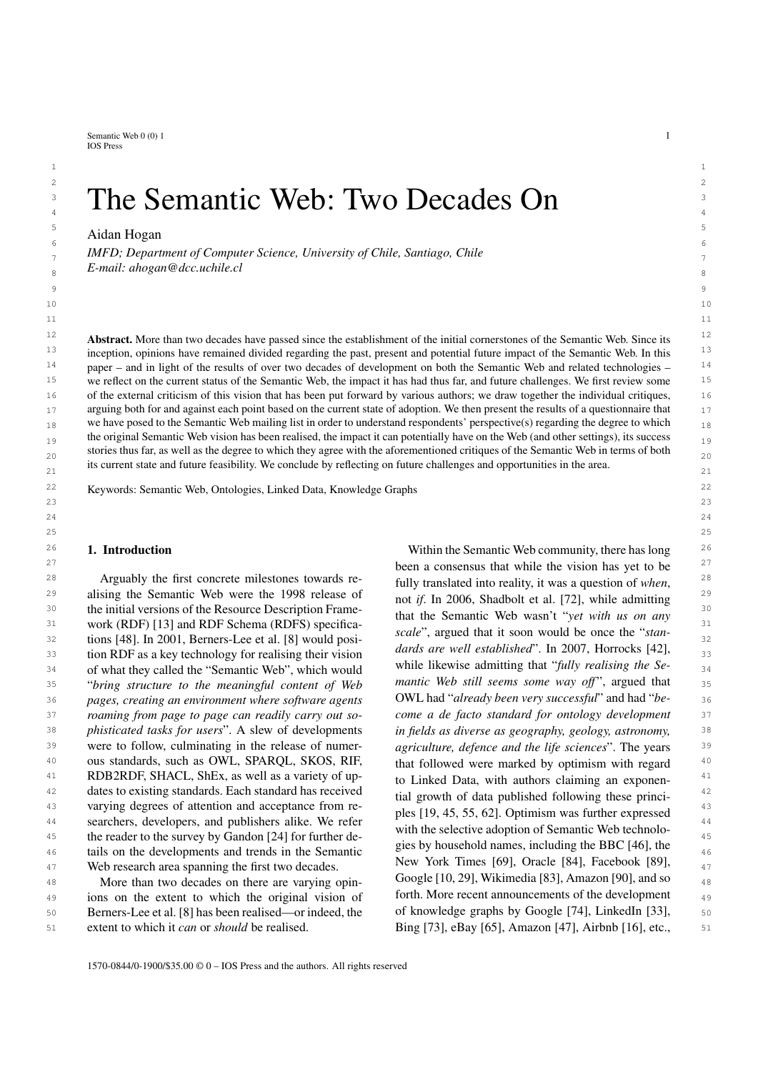Semantic Web  $0(0)$  1 1 IOS Press

# $2 \times 2$  $\frac{3}{2}$  The Semantic Web: Two Decades On  $\frac{3}{2}$ <sup>3</sup> The Semantic Web: Two Decades On

 $\frac{5}{100}$   $\frac{1}{100}$   $\frac{1}{100}$   $\frac{5}{100}$   $\frac{5}{100}$   $\frac{5}{100}$   $\frac{5}{100}$   $\frac{5}{100}$   $\frac{5}{100}$   $\frac{5}{100}$   $\frac{5}{100}$   $\frac{5}{100}$   $\frac{5}{100}$   $\frac{5}{100}$   $\frac{5}{100}$   $\frac{5}{100}$   $\frac{5}{100}$   $\frac{5}{100}$   $\frac{5$  $\epsilon$  6  $\epsilon$  6  $\epsilon$  6  $\epsilon$  6  $\epsilon$  6  $\epsilon$  6  $\epsilon$  6  $\epsilon$  6  $\epsilon$  6  $\epsilon$  6  $\epsilon$  6  $\epsilon$  6  $\epsilon$  6  $\epsilon$  6  $\epsilon$  6  $\epsilon$  6  $\epsilon$  6  $\epsilon$  6  $\epsilon$  6  $\epsilon$  6  $\epsilon$  6  $\epsilon$  6  $\epsilon$  6  $\epsilon$  6  $\epsilon$  6  $\epsilon$  6  $\epsilon$  6  $\epsilon$  6  $\epsilon$  6  $\epsilon$  6  $\epsilon$  6  $\epsilon$ Aidan Hogan

7 7 *IMFD; Department of Computer Science, University of Chile, Santiago, Chile* 8 8 *E-mail: [ahogan@dcc.uchile.cl](mailto:ahogan@dcc.uchile.cl)*

 $12$  **Abstract.** More than two decades have passed since the establishment of the initial cornerstones of the Semantic Web. Since its  $12$ <sup>13</sup> inception, opinions have remained divided regarding the past, present and potential future impact of the Semantic Web. In this <sup>13</sup> <sup>14</sup> paper – and in light of the results of over two decades of development on both the Semantic Web and related technologies – <sup>14</sup> <sup>15</sup> we reflect on the current status of the Semantic Web, the impact it has had thus far, and future challenges. We first review some <sup>15</sup> <sup>16</sup> of the external criticism of this vision that has been put forward by various authors; we draw together the individual critiques, 17 arguing both for and against each point based on the current state of adoption. We then present the results of a questionnaire that 17  $_{18}$  we have posed to the Semantic Web mailing list in order to understand respondents' perspective(s) regarding the degree to which  $_{18}$ the original Semantic Web vision has been realised, the impact it can potentially have on the Web (and other settings), its success  $19$ stories thus far, as well as the degree to which they agree with the aforementioned critiques of the Semantic Web in terms of both  $_{20}$ its current state and future feasibility. We conclude by reflecting on future challenges and opportunities in the area.

 $1$ 

22 22 Keywords: Semantic Web, Ontologies, Linked Data, Knowledge Graphs

# 1. Introduction

*roaming from page to page can readily carry out so*were to follow, culminating in the release of numer-

<sup>49</sup> ions on the extent to which the original vision of forth. More recent announcements of the development <sup>49</sup> 50 Berners-Lee et al. [\[8\]](#page-14-1) has been realised—or indeed, the of knowledge graphs by Google [74], LinkedIn [33], 50 extent to which it *can* or *should* be realised.

26 26 Within the Semantic Web community, there has long  $27<sup>27</sup>$  been a consensus that while the vision has yet to be  $27<sup>27</sup>$ 28 Arguably the first concrete milestones towards re-<br>fully translated into reality it was a question of when  $^{28}$ 29 alising the Semantic Web were the 1998 release of  $\frac{1}{2}$  pot if In 2006. Shadbolt et al. [72] while admitting <sup>30</sup> the initial versions of the Resource Description Frame-<br><sup>30</sup> that the Samppic Wab wasn't "wet with us an any 31 work (RDF) [\[13\]](#page-14-0) and RDF Schema (RDFS) specifica-<br> $\frac{1}{2}$  and  $\frac{1}{2}$  specifica-<br> $\frac{1}{2}$  specifica-<br> $\frac{1}{2}$  specifica-<br> $\frac{1}{2}$  specifica-<br> $\frac{1}{2}$  specifica-<br> $\frac{1}{2}$  specifica-<br> $\frac{1}{2}$  specifica-<br> $\frac{1}{2}$ 32 32 tions [\[48\]](#page-15-0). In 2001, Berners-Lee et al. [\[8\]](#page-14-1) would posi-33 tion RDF as a key technology for realising their vision  $\frac{du}{dx}$  are well established. In 2007, Hortocks  $\left[\frac{42}{3}\right]$ ,  $\frac{33}{2}$  $34$  of what they called the "Semantic Web", which would while likewise admitting that *fully realising the Se*-<br> $34$ 35 35 "*bring structure to the meaningful content of Web* 36 36 *pages, creating an environment where software agents* 37 37 *come a de facto standard for ontology development* 38 38 *phisticated tasks for users*". A slew of developments <sup>39</sup> were to follow, culminating in the release of numer-<br><sup>39</sup> agriculture, defence and the life sciences''. The years <sup>40</sup> ous standards, such as OWL, SPARQL, SKOS, RIF, that followed were marked by optimism with regard <sup>40</sup> <sup>41</sup> RDB2RDF, SHACL, ShEx, as well as a variety of up-<br>to Linked Data with authors claiming an exponen-42 dates to existing standards. Each standard has received tial growth of data published following these princi-43 varying degrees of attention and acceptance from re-<br>and the fine of  $\frac{10}{45}$  for  $\frac{45}{5}$  for  $\frac{621}{20}$  Optimism was further expressed earchers, developers, and publishers alike. We refer the polarities of contains when the publishers and the selective of Compation of Compation Mah tachnology and 45 the reader to the survey by Gandon [\[24\]](#page-14-2) for further de-<br>45 the reader to the survey by Gandon [24] for further de-46 tails on the developments and trends in the Semantic the Semantic transformation of the developments and trends in the Semantic transformation of the semantic transformation of the semantic transformation of the semanti 47 Web research area spanning the first two decades. New York Times [69], Oracle [84], Pacebook [89],  $\frac{47}{47}$ 48 More than two decades on there are varying opin-<br> $\frac{1}{48}$  Google [10, 29], Wikimedia [83], Amazon [90], and so 51 extent to which it *can* or *should* be realised. Bing [\[73\]](#page-16-6), eBay [\[65\]](#page-15-7), Amazon [\[47\]](#page-15-8), Airbnb [\[16\]](#page-14-7), etc., 51 fully translated into reality, it was a question of *when*, not *if*. In 2006, Shadbolt et al. [\[72\]](#page-16-0), while admitting that the Semantic Web wasn't "*yet with us on any scale*", argued that it soon would be once the "*standards are well established*". In 2007, Horrocks [\[42\]](#page-15-1), while likewise admitting that "*fully realising the Semantic Web still seems some way off"*, argued that OWL had "*already been very successful*" and had "*bein fields as diverse as geography, geology, astronomy,* that followed were marked by optimism with regard to Linked Data, with authors claiming an exponential growth of data published following these principles [\[19,](#page-14-3) [45,](#page-15-2) [55,](#page-15-3) [62\]](#page-15-4). Optimism was further expressed with the selective adoption of Semantic Web technologies by household names, including the BBC [\[46\]](#page-15-5), the New York Times [\[69\]](#page-15-6), Oracle [\[84\]](#page-16-1), Facebook [\[89\]](#page-16-2), Google [\[10,](#page-14-4) [29\]](#page-14-5), Wikimedia [\[83\]](#page-16-3), Amazon [\[90\]](#page-16-4), and so forth. More recent announcements of the development of knowledge graphs by Google [\[74\]](#page-16-5), LinkedIn [\[33\]](#page-14-6),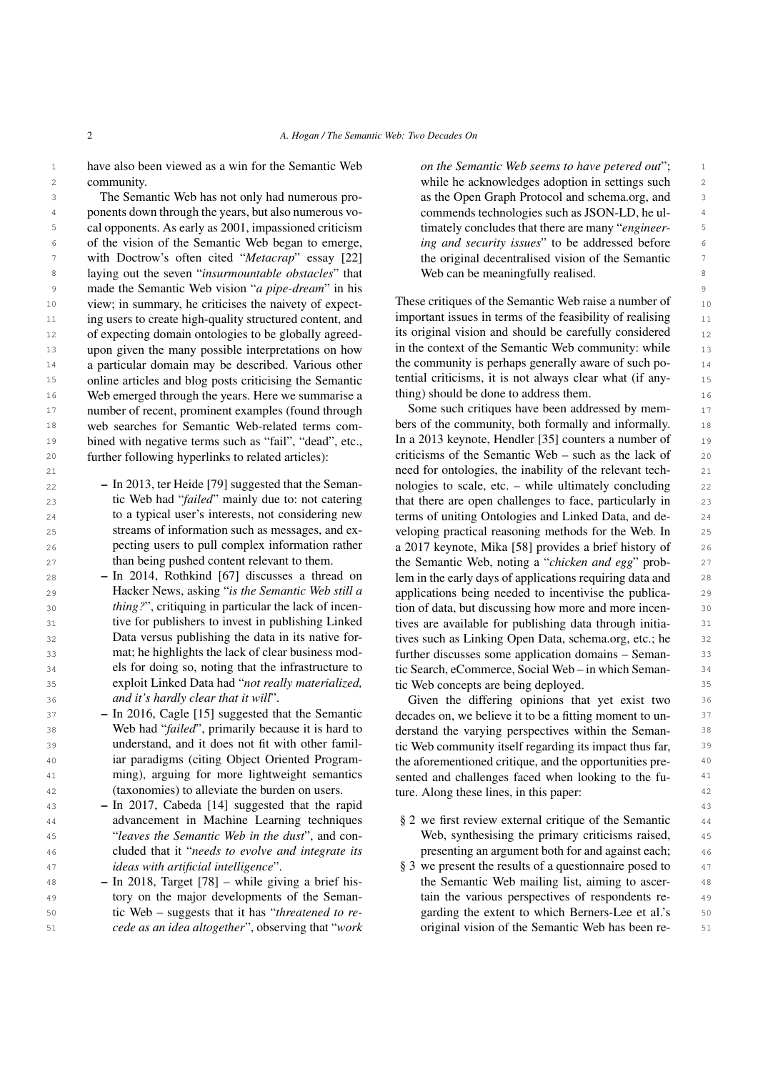2 *A. Hogan / The Semantic Web: Two Decades On*

<sup>1</sup> have also been viewed as a win for the Semantic Web *on the Semantic Web seems to have petered out*"; 2 2 while he acknowledges adoption in settings such community.

3 3 The Semantic Web has not only had numerous pro-4 ponents down through the years, but also numerous vo-<br>commends technologies such as JSON-LD, he ul-5 cal opponents. As early as 2001, impassioned criticism timately concludes that there are many "*engineer*-<sup>6</sup> of the vision of the Semantic Web began to emerge, *ing and security issues*" to be addressed before 7 with Doctrow's often cited "*Metacrap*" essay [\[22\]](#page-14-8) the original decentralised vision of the Semantic 7 8 laying out the seven "*insurmountable obstacles*" that Web can be meaningfully realised. 9 9 made the Semantic Web vision "*a pipe-dream*" in his  $10$  view; in summary, he criticises the naivety of expect-<br>These critiques of the Semantic Web raise a number of  $10$ <sup>11</sup> ing users to create high-quality structured content, and **manufactured** in terms of the feasibility of realising <sup>11</sup> <sup>12</sup> of expecting domain ontologies to be globally agreed-<br><sup>12</sup> its original vision and should be carefully considered <sup>13</sup> upon given the many possible interpretations on how in the context of the Semantic Web community: while <sup>13</sup> <sup>14</sup> a particular domain may be described. Various other the community is perhaps generally aware of such po-<sup>15</sup> online articles and blog posts criticising the Semantic tential criticisms, it is not always clear what (if any-<sup>16</sup> Web emerged through the years. Here we summarise a thing should be done to address them. <sup>17</sup> number of recent, prominent examples (found through Some such critiques have been addressed by mem-18 web searches for Semantic Web-related terms com-<br>18 bers of the community, both formally and informally. <sup>19</sup> bined with negative terms such as "fail", "dead", etc., In a 2013 keynote, Hendler [35] counters a number of <sup>19</sup> 20 further following hyperlinks to related articles): criticisms of the Semantic Web – such as the lack of 20 web searches for Semantic Web-related terms comfurther following hyperlinks to related articles):

- $22$  In 2013, ter Heide [79] suggested that the Seman-<br>nologies to scale, etc. while ultimately concluding  $22$ 23 tic Web had "*failed*" mainly due to: not catering that there are open challenges to face, particularly in 23 24 to a typical user's interests, not considering new terms of uniting Ontologies and Linked Data, and de- 24 25 streams of information such as messages, and ex-<br>veloping practical reasoning methods for the Web. In 25 26 **26** 26 **26** pecting users to pull complex information rather 2017 keynote, Mika [\[58\]](#page-15-10) provides a brief history of 26 – In 2013, ter Heide [\[79\]](#page-16-7) suggested that the Semantic Web had "*failed*" mainly due to: not catering to a typical user's interests, not considering new streams of information such as messages, and expecting users to pull complex information rather than being pushed content relevant to them.
- 28 In 2014, Rothkind [67] discusses a thread on lem in the early days of applications requiring data and 28 29 **29** Hacker News, asking "*is the Semantic Web still a* applications being needed to incentivise the publica-30 *thing?"*, critiquing in particular the lack of incen-<br>30 **the of data, but discussing how more and more incen-**<sup>31</sup> tive for publishers to invest in publishing Linked tives are available for publishing data through initia-32 **Supers Data versus publishing the data in its native for-** tives such as Linking Open Data, schema.org, etc.; he 33 mat; he highlights the lack of clear business mod-<br>**further discusses some application domains – Seman-** 33 <sup>34</sup> els for doing so, noting that the infrastructure to tic Search, eCommerce, Social Web – in which Seman-<sup>34</sup> 35 35 exploit Linked Data had "*not really materialized,* 36 and it's hardly clear that it will". Given the differing opinions that yet exist two 36 – In 2014, Rothkind [\[67\]](#page-15-9) discusses a thread on Hacker News, asking "*is the Semantic Web still a thing?*", critiquing in particular the lack of incentive for publishers to invest in publishing Linked Data versus publishing the data in its native format; he highlights the lack of clear business models for doing so, noting that the infrastructure to *and it's hardly clear that it will*".
- $37 -$  In 2016, Cagle [15] suggested that the Semantic decades on, we believe it to be a fitting moment to un-38 Web had "*failed"*, primarily because it is hard to derstand the varying perspectives within the Seman- 38 39 **1998 understand, and it does not fit with other famil-** tic Web community itself regarding its impact thus far, <sup>40</sup> iar paradigms (citing Object Oriented Program-<br><sup>40</sup> the aforementioned critique, and the opportunities pre-<sup>41</sup> ming), arguing for more lightweight semantics sented and challenges faced when looking to the fu-42 42 (taxonomies) to alleviate the burden on users. – In 2016, Cagle [\[15\]](#page-14-9) suggested that the Semantic Web had "*failed*", primarily because it is hard to understand, and it does not fit with other familiar paradigms (citing Object Oriented Programming), arguing for more lightweight semantics
- 43 43 In 2017, Cabeda [\[14\]](#page-14-10) suggested that the rapid <sup>44</sup> advancement in Machine Learning techniques § [2](#page-2-0) we first review external critique of the Semantic <sup>44</sup> 45 45 "*leaves the Semantic Web in the dust*", and con-46 cluded that it *"needs to evolve and integrate its* presenting an argument both for and against each; 46 <sup>47</sup> *ideas with artificial intelligence*".  $\S 3$  $\S 3$  we present the results of a questionnaire posed to  $\overline{47}$ advancement in Machine Learning techniques cluded that it "*needs to evolve and integrate its ideas with artificial intelligence*".
- 49 49 tory on the major developments of the Seman-50 **tic Web – suggests that it has "***threatened to re***- garding the extent to which Berners-Lee et al.'s 50**

*on the Semantic Web seems to have petered out*"; as the Open Graph Protocol and schema.org, and commends technologies such as JSON-LD, he ultimately concludes that there are many "*engineering and security issues*" to be addressed before the original decentralised vision of the Semantic Web can be meaningfully realised.

These critiques of the Semantic Web raise a number of important issues in terms of the feasibility of realising its original vision and should be carefully considered in the context of the Semantic Web community: while the community is perhaps generally aware of such potential criticisms, it is not always clear what (if anything) should be done to address them.

21 21 need for ontologies, the inability of the relevant tech-27 **than being pushed content relevant to them. the Semantic Web, noting a "***chicken and egg***" prob-<sup>27</sup>** Some such critiques have been addressed by mem-In a 2013 keynote, Hendler [\[35\]](#page-14-11) counters a number of tic Web concepts are being deployed.

ture. Along these lines, in this paper:

- Web, synthesising the primary criticisms raised,
- 48 48 In 2018, Target [\[78\]](#page-16-8) while giving a brief his-51 51 *cede as an idea altogether*", observing that "*work* the Semantic Web mailing list, aiming to ascertain the various perspectives of respondents regarding the extent to which Berners-Lee et al.'s original vision of the Semantic Web has been re-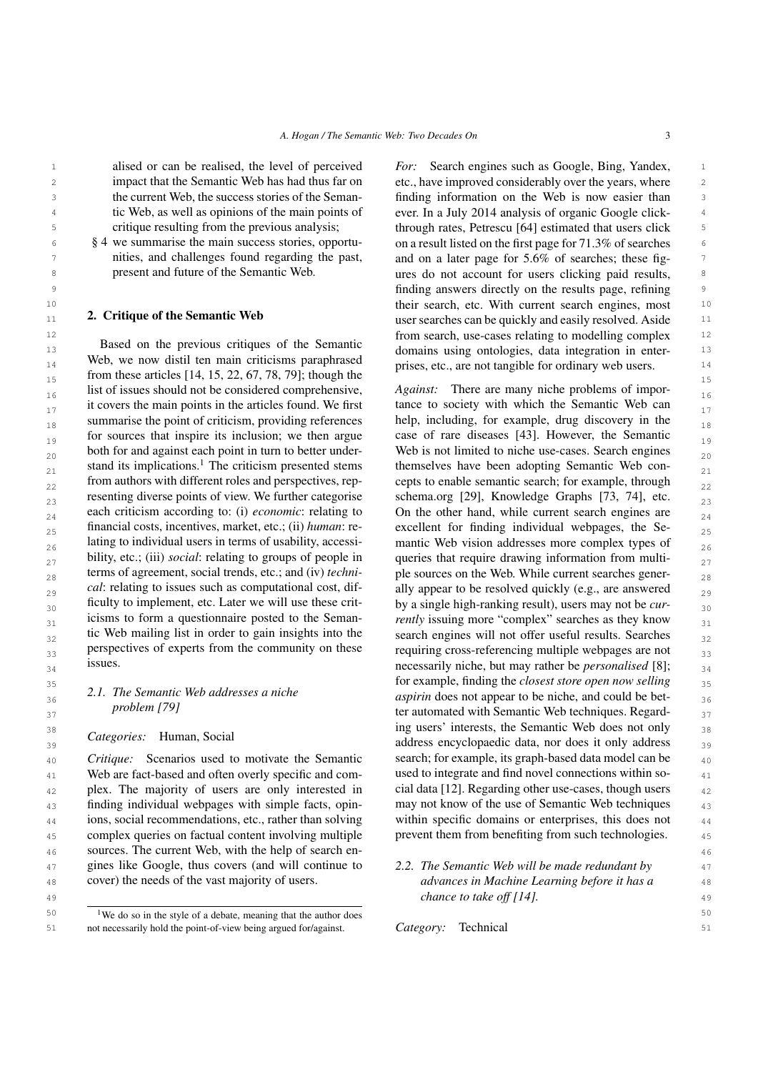alised or can be realised, the level of perceived impact that the Semantic Web has had thus far on the current Web, the success stories of the Semantic Web, as well as opinions of the main points of critique resulting from the previous analysis;

§ [4](#page-12-0) we summarise the main success stories, opportunities, and challenges found regarding the past, present and future of the Semantic Web.

# <span id="page-2-0"></span>2. Critique of the Semantic Web

13 13 domains using ontologies, data integration in enter-14 14 prises, etc., are not tangible for ordinary web users.  $_{15}$  from these articles [\[14,](#page-14-10) [15,](#page-14-9) [22,](#page-14-8) [67,](#page-15-9) [78,](#page-16-8) [79\]](#page-16-7); though the  $_{15}$  $_{16}$  list of issues should not be considered comprehensive, Against: There are many niche problems of impor- $_{17}$  it covers the main points in the articles found. We first tance to society with which the Semantic Web can  $_{18}$  summarise the point of criticism, providing references help, including, for example, drug discovery in the  $_{18}$  $_{19}$  for sources that inspire its inclusion; we then argue case of rare diseases [43]. However, the Semantic  $_{19}$ both for and against each point in turn to better under-<br>Web is not limited to niche use-cases. Search engines stand its implications.<sup>[1](#page-2-1)</sup> The criticism presented stems themselves have been adopting Semantic Web con- $_{22}$  from authors with different roles and perspectives, rep- cepts to enable semantic search; for example, through  $_{22}$ resenting diverse points of view. We further categorise schema.org [\[29\]](#page-14-5), Knowledge Graphs [\[73,](#page-16-6) [74\]](#page-16-5), etc.  $\frac{23}{23}$ each criticism according to: (i) *economic*: relating to  $\qquad$  On the other hand, while current search engines are  $\frac{24}{24}$ 25 financial costs, incentives, market, etc.; (ii) human: re- excellent for finding individual webpages, the Se-26 lating to individual users in terms of usability, accessi-<br>mantic Web vision addresses more complex types of  $\frac{26}{6}$ bility, etc.; (iii) *social*: relating to groups of people in queries that require drawing information from multi- $_{28}$  terms of agreement, social trends, etc.; and (iv) *techni*- ple sources on the Web. While current searches gener- $_{29}$  cal: relating to issues such as computational cost, dif-<br>ally appear to be resolved quickly (e.g., are answered  $_{29}$  $_{30}$  ficulty to implement, etc. Later we will use these crit-<br>by a single high-ranking result), users may not be *cur*-<br> $_{30}$ <sup>31</sup> icisms to form a questionnaire posted to the Seman-<br><sup>31</sup> *rently* issuing more "complex" searches as they know  $_{32}$  tic Web mailing list in order to gain insights into the search engines will not offer useful results. Searches  $_{32}$  $33$  perspectives of experts from the community on these requiring cross-referencing multiple webpages are not  $33$ Based on the previous critiques of the Semantic Web, we now distil ten main criticisms paraphrased from authors with different roles and perspectives, representing diverse points of view. We further categorise each criticism according to: (i) *economic*: relating to financial costs, incentives, market, etc.; (ii) *human*: relating to individual users in terms of usability, accessibility, etc.; (iii) *social*: relating to groups of people in terms of agreement, social trends, etc.; and (iv) *technical*: relating to issues such as computational cost, difficulty to implement, etc. Later we will use these criticisms to form a questionnaire posted to the Semantic Web mailing list in order to gain insights into the perspectives of experts from the community on these issues.

# *2.1. The Semantic Web addresses a niche problem [\[79\]](#page-16-7)*

*Categories:* Human, Social

41 Web are fact-based and often overly specific and com-<br>41  $_{42}$  plex. The majority of users are only interested in cial data [\[12\]](#page-14-12). Regarding other use-cases, though users  $_{42}$ <sup>43</sup> finding individual webpages with simple facts, opin- may not know of the use of Semantic Web techniques <sup>43</sup> <sup>44</sup> ions, social recommendations, etc., rather than solving within specific domains or enterprises, this does not <sup>45</sup> complex queries on factual content involving multiple prevent them from benefiting from such technologies. 46 46 sources. The current Web, with the help of search en-47 gines like Google, thus covers (and will continue to 2.2. The Semantic Web will be made redundant by 47 Web are fact-based and often overly specific and complex. The majority of users are only interested in cover) the needs of the vast majority of users.

<span id="page-2-1"></span><sup>50</sup> <sup>1</sup> We do so in the style of a debate, meaning that the author does <sup>50</sup> 51 not necessarily hold the point-of-view being argued for/against. Category: Technical 51

1 alised or can be realised, the level of perceived *For:* Search engines such as Google, Bing, Yandex, 1 2 etc., have improved considerably over the years, where 3 finding information on the Web is now easier than <sup>4</sup> tic Web, as well as opinions of the main points of ever. In a July 2014 analysis of organic Google click- 5 through rates, Petrescu [\[64\]](#page-15-11) estimated that users click <sup>6</sup> 8 4 we summarise the main success stories, opportu- on a result listed on the first page for 71.3% of searches in the page of  $\frac{1}{2}$  and  $\frac{1}{2}$  and  $\frac{1}{2}$  and  $\frac{1}{2}$  and  $\frac{1}{2}$  and  $\frac{1}{2}$  and  $\frac{1}{2}$  and  $\frac{1}{2}$  and  $\frac{1}{2}$   $\frac{1}{2}$  and  $\frac{1}{2}$   $\frac{1}{2}$  and  $\frac{1}{2}$  and  $\frac{1}{2}$  and  $\frac{1}{2}$  and  $\frac{$  8 ures do not account for users clicking paid results, 9 finding answers directly on the results page, refining 10 their search, etc. With current search engines, most 2. Cruique of the Semantic Web example  $11$  user searches can be quickly and easily resolved. Aside  $11$ 12 from search, use-cases relating to modelling complex

<sup>34</sup> <sup>1SSUES</sup> 1SSUES. 1SSUES 1850ES. The *s*<sup>34</sup> **1SSUES** 18 **181 181 181 181 181 181 181 181 181 181 181 181 181 181 181 181 181 181 181 181 181 181 181 181 181 181 181** 35 35 for example, finding the *closest store open now selling* 36 36 *aspirin* does not appear to be niche, and could be bet- $37$  *problem* [79]  $37$  ter automated with Semantic Web techniques. Regard-<sup>38</sup> 38 **1 ing users' interests, the Semantic Web does not only** 38  $39$  Calegories. The social contract the contract and address encyclopaedic data, nor does it only address  $39$ <sup>40</sup> *Critique:* Scenarios used to motivate the Semantic search; for example, its graph-based data model can be *Against:* There are many niche problems of importance to society with which the Semantic Web can help, including, for example, drug discovery in the case of rare diseases [\[43\]](#page-15-12). However, the Semantic Web is not limited to niche use-cases. Search engines themselves have been adopting Semantic Web consearch; for example, its graph-based data model can be may not know of the use of Semantic Web techniques within specific domains or enterprises, this does not prevent them from benefiting from such technologies.

48 48 *advances in Machine Learning before it has a* 49 49 *chance to take off [\[14\]](#page-14-10). 2.2. The Semantic Web will be made redundant by*

*Category:* Technical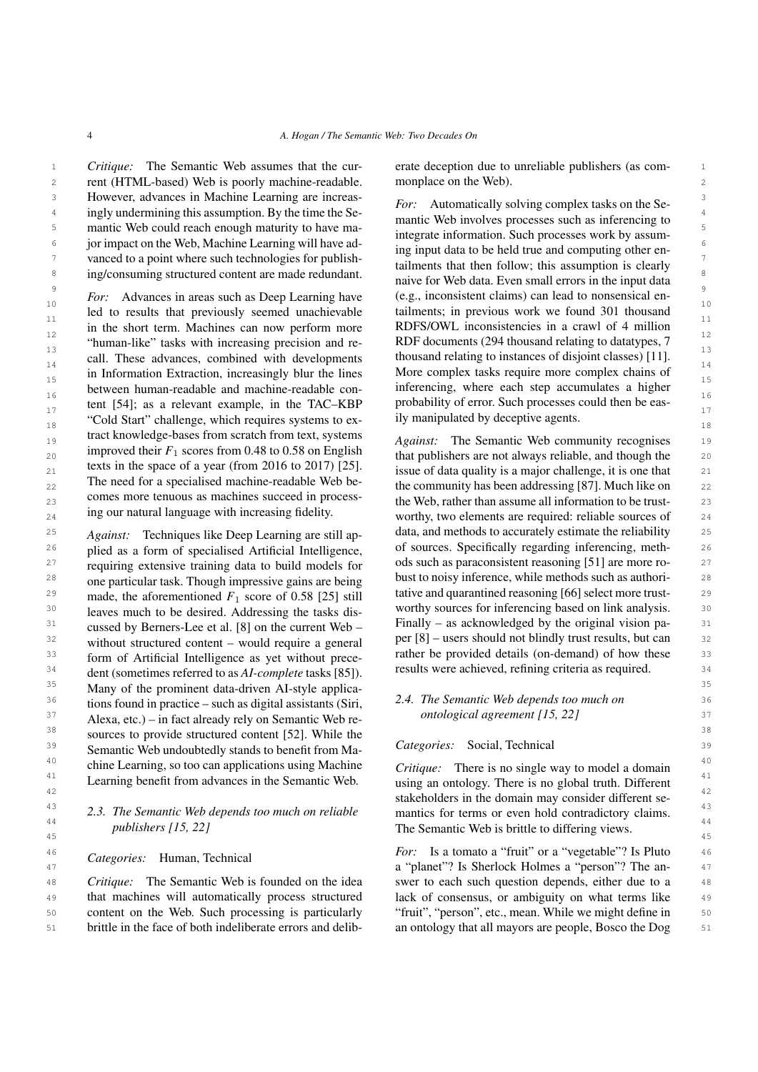1 Critique: The Semantic Web assumes that the cur- erate deception due to unreliable publishers (as com-2 2 2 2 2 2 rent (HTML-based) Web is poorly machine-readable. monplace on the Web). 3 3 However, advances in Machine Learning are increas-<sup>4</sup> ingly undermining this assumption. By the time the Se-<br><sup>1</sup> **institution of the Second Second Conduct on the Second Second Second Second Second Second Second Second Second Second Second Second Second Second Second Secon** 5
mantic Web could reach enough maturity to have ma-<br>  $\frac{1}{2}$  integrate information Such presences work by equipment  $\epsilon$  jor impact on the Web, Machine Learning will have ad-<br> $\frac{1}{2}$  in  $\epsilon$  in the Web and computing ether on  $\frac{7}{2}$  vanced to a point where such technologies for publish-<br> $\frac{1}{2}$   $\frac{1}{2}$  is the follow this assumption is also in a state of the securities is also in a state of the securities is also in a state of the securi *Critique:* The Semantic Web assumes that the cur-

<sup>10</sup> 10<sup>1</sup> 10<sup>1</sup> 10<sup>1</sup> 10<sup>1</sup> 10<sup>1</sup> 10<sup>1</sup> 10<sup>1</sup> 10<sup>1</sup> 10<sup>1</sup> 10<sup>1</sup> 10<sup>1</sup> 10<sup>1</sup> 10<sup>1</sup> 10<sup>1</sup> 10<sup>1</sup> 10<sup>1</sup> 10<sup>1</sup> 10<sup>1</sup> 10<sup>1</sup> 10<sup>1</sup> 10<sup>1</sup> 10<sup>1</sup> 10<sup>1</sup> 10<sup>1</sup> 10<sup>1</sup> 10<sup>1</sup> 10<sup>1</sup> 10<sup>1</sup> 10<sup>1</sup> 10<sup>1</sup> 10<sup>1</sup> 10<sup>1</sup> 10<sup>1</sup> 10<sup>1</sup> 10<sup>1</sup> 10<sup>1</sup> 1  $\frac{11}{10}$  in the short term. Machines can now perform more RDFS/OWL inconsistencies in a crawl of 4 million  $12$  in the short term. Machines can now perform more RDFS/OWL inconsistencies in a crawl of 4 million  $\frac{13}{13}$  and the tasks with mercasing precision and recording to instance collating to analy  $\frac{13}{11}$ .  $\frac{14}{15}$  in Information Extraction, increasingly blur the lines More complex tasks require more complex chains of  $_{15}$  in Information Extraction, increasingly blur the lines More complex tasks require more complex chains of  $_{15}$ <sup>16</sup> 16<sup>16</sup> 16<sup>16</sup> between human-readable and machine-readable con-<br><sup>16</sup> 16<sup>1</sup> 16<sup>1</sup> 16<sup>1</sup> 16<sup>1</sup> 16<sup>1</sup> 16<sup>1</sup> 16<sup>1</sup> 16<sup>1</sup> 16<sup>1</sup> 16<sup>1</sup> 16<sup>1</sup> 16<sup>1</sup> 16<sup>1</sup> 16<sup>1</sup> 16<sup>1</sup> 16<sup>1</sup> 16<sup>1</sup> 16<sup>1</sup> 16<sup>1</sup> tent [\[54\]](#page-15-13); as a relevant example, in the TAC–KBP probability of error. Such processes could then be eas- $_{18}$  "Cold Start" challenge, which requires systems to ex-<br> $_{18}$  ily manipulated by deceptive agents. 19 19 *Against:* The Semantic Web community recognises 20 **1** Improved their  $r_1$  scores from 0.48 to 0.58 on English that publishers are not always reliable, and though the 20  $_{21}$  exts in the space of a year (from 2010 to 2017) [23]. issue of data quality is a major challenge, it is one that 21  $_{22}$  and the community has been addressing [\[87\]](#page-16-10). Much like on  $_{22}$  $_{23}$  comes more tend as machines succeed in process-<br>the Web, rather than assume all information to be trustled to results that previously seemed unachievable "human-like" tasks with increasing precision and recall. These advances, combined with developments tract knowledge-bases from scratch from text, systems improved their  $F_1$  scores from 0.48 to 0.58 on English texts in the space of a year (from 2016 to 2017) [\[25\]](#page-14-13). The need for a specialised machine-readable Web becomes more tenuous as machines succeed in processing our natural language with increasing fidelity.

 $25$  *Against:* Techniques like Deep Learning are still ap- data, and methods to accurately estimate the reliability  $25$ <sup>26</sup> plied as a form of specialised Artificial Intelligence. of sources. Specifically regarding inferencing, meth-<sup>27</sup> requiring extensive training data to build models for ods such as paraconsistent reasoning [\[51\]](#page-15-15) are more ro-<sup>28</sup> one particular task. Though impressive gains are being bust to noisy inference, while methods such as authori-<sup>29</sup> made the aforementioned  $F_1$  score of 0.58 [25] still tative and quarantined reasoning [\[66\]](#page-15-16) select more trust-<sup>30</sup> leaves much to be desired Addressing the tasks dis-<br>worthy sources for inferencing based on link analysis. <sup>30</sup>  $31$  cussed by Berners-Lee et al [8] on the current Web  $-$  Finally – as acknowledged by the original vision pa-  $31$ <sup>32</sup> without structured content – would require a general per [\[8\]](#page-14-1) – users should not blindly trust results, but can <sup>33</sup> form of Artificial Intelligence as yet without prece-<br><sup>33</sup> form of Artificial Intelligence as yet without prece- $34$  dent (sometimes referred to as AL-complete tasks [85]) results were achieved, refining criteria as required.  $34$ <sup>35</sup> Many of the prominent data-driven AI-style applica-<br><sup>35</sup> 36 36 *2.4. The Semantic Web depends too much on*  $37$  Alexa, etc.) – in fact already rely on Semantic Web re-<br> $37$  antological agreement [15, 22] 38 38 sources to provide structured content [\[52\]](#page-15-14). While the  $39$  Semantic Web undoubtedly stands to benefit from Ma-<br> $Categories$ : Social, Technical <sup>40</sup> chine Learning, so too can applications using Machine *Critique*: There is no single way to model a domain <sup>41</sup> Learning benefit from advances in the Semantic Web. using an ontology. There is no global truth. Different <sup>41</sup> *Against:* Techniques like Deep Learning are still applied as a form of specialised Artificial Intelligence, requiring extensive training data to build models for one particular task. Though impressive gains are being made, the aforementioned  $F_1$  score of 0.58 [\[25\]](#page-14-13) still leaves much to be desired. Addressing the tasks discussed by Berners-Lee et al. [\[8\]](#page-14-1) on the current Web – without structured content – would require a general form of Artificial Intelligence as yet without precedent (sometimes referred to as *AI-complete* tasks [\[85\]](#page-16-9)). tions found in practice – such as digital assistants (Siri,

# 44<br> *Publishers* [15, 22] **The Semantic Web is brittle to differing views.** *publishers [\[15,](#page-14-9) [22\]](#page-14-8)*

## *Categories:* Human, Technical

48 *Critique*: The Semantic Web is founded on the idea swer to each such question depends, either due to a 48 49 that machines will automatically process structured lack of consensus, or ambiguity on what terms like 49 50 content on the Web. Such processing is particularly "fruit", "person", etc., mean. While we might define in 50 *Critique:* The Semantic Web is founded on the idea brittle in the face of both indeliberate errors and delib-

monplace on the Web).

8 ing/consuming structured content are made redundant.  $\frac{9}{2}$  For: Advances in areas such as Deep Learning have  $($ e.g., inconsistent claims) can lead to nonsensical en-*For:* Automatically solving complex tasks on the Semantic Web involves processes such as inferencing to integrate information. Such processes work by assuming input data to be held true and computing other entailments that then follow; this assumption is clearly naive for Web data. Even small errors in the input data tailments; in previous work we found 301 thousand RDF documents (294 thousand relating to datatypes, 7 inferencing, where each step accumulates a higher probability of error. Such processes could then be easily manipulated by deceptive agents.

 $_{24}$  and the sources of  $_{24}$  are required: reliable sources of  $_{24}$ 

# *ontological agreement [\[15,](#page-14-9) [22\]](#page-14-8)*

# *Categories:* Social, Technical

42<br>stakeholders in the domain may consider different se-<sup>43</sup> 2.3. The Semantic Web depends too much on reliable mantics for terms or even hold contradictory claims.  $\frac{45}{45}$ *Critique:* There is no single way to model a domain using an ontology. There is no global truth. Different mantics for terms or even hold contradictory claims.

<sup>46</sup> *Categorias:* Human Technical *For:* Is a tomato a "fruit" or a "vegetable"? Is Pluto 46 47 47 a "planet"? Is Sherlock Holmes a "person"? The an-51 brittle in the face of both indeliberate errors and delib- an ontology that all mayors are people, Bosco the Dog 51 lack of consensus, or ambiguity on what terms like "fruit", "person", etc., mean. While we might define in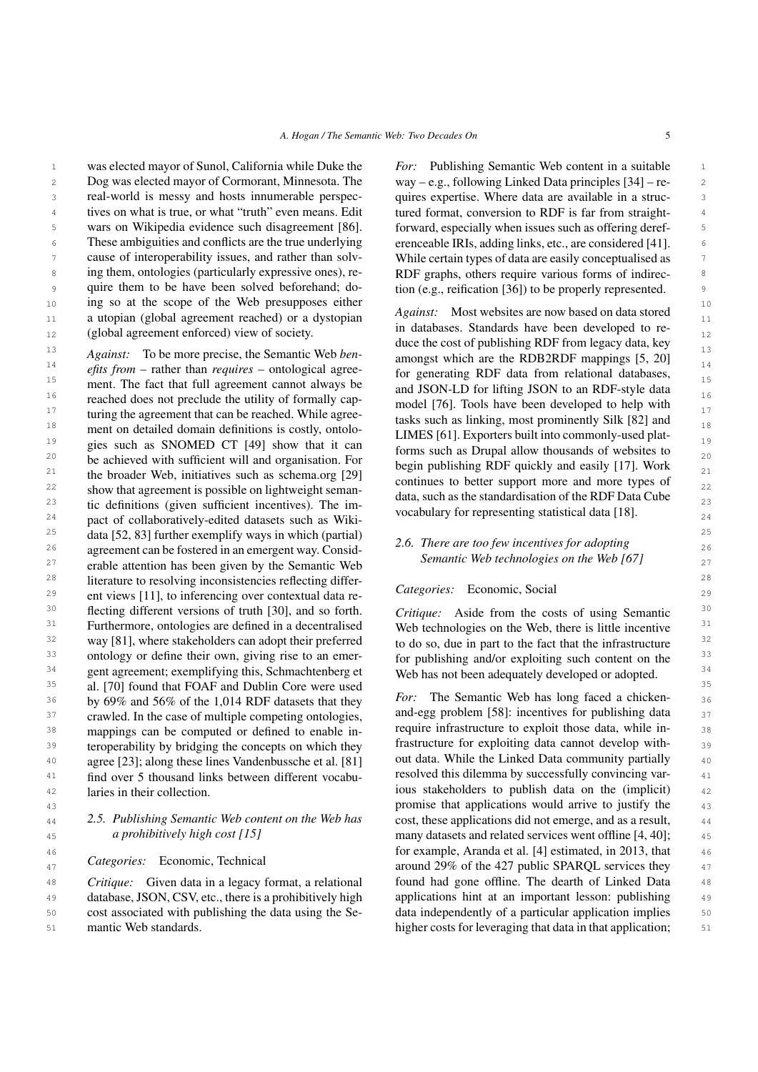<sup>1</sup> was elected mayor of Sunol, California while Duke the *For:* Publishing Semantic Web content in a suitable <sup>1</sup> 2 Dog was elected mayor of Cormorant, Minnesota. The way – e.g., following Linked Data principles [34] – re-<sup>3</sup> **ideologies** real-world is messy and hosts innumerable perspec- quires expertise. Where data are available in a struc-<sup>4</sup> tives on what is true, or what "truth" even means. Edit tured format, conversion to RDF is far from straight-<sup>5</sup> wars on Wikipedia evidence such disagreement [86]. forward, especially when issues such as offering deref-<sup>6</sup> These ambiguities and conflicts are the true underlying erenceable IRIs, adding links, etc., are considered [41]. <sup>7</sup> cause of interoperability issues, and rather than solv-<br>While certain types of data are easily conceptualised as <sup>8</sup> ing them, ontologies (particularly expressive ones), re-<br>RDF graphs, others require various forms of indirec-9 quire them to be have been solved beforehand; do-<br>gion (e.g., reification [\[36\]](#page-14-18)) to be properly represented. 10 10 ing so at the scope of the Web presupposes either 11 a utopian (global agreement reached) or a dystopian Againsi. Most websites are now based on data stored real-world is messy and hosts innumerable perspecwars on Wikipedia evidence such disagreement [\[86\]](#page-16-11). cause of interoperability issues, and rather than solving them, ontologies (particularly expressive ones), require them to be have been solved beforehand; do-

<sup>13</sup> *Against:* To be more precise, the Semantic Web *ben*-<br>amongst which are the RDB2RDF mannings [5, 20] <sup>14</sup>  $\frac{14}{2}$  efits from – rather than *requires* – ontological agree-<br>to generating RDF data from relational databases 15 15 ment. The fact that full agreement cannot always be  $16$  reached does not preclude the utility of formally cap-<br>model [76] Tools have been developed to belp with  $17$  turing the agreement that can be reached. While agree-<br>tasks such as linking most prominently Silk [82] and 18 ment on detailed domain definitions is costly, ontolo-<br> $I$  IMES [61] Exporters built into commonly-used plat- $19$  gies such as SNOMED CT [\[49\]](#page-15-17) show that it can  $19$  forms such as Drupal allow thousands of websites to 20 be achieved with sufficient will and organisation. For begin publishing PDF quickly and easily [17] Work <sup>21</sup> the broader Web, initiatives such as schema.org [\[29\]](#page-14-5)  $\frac{1}{21}$  continues to better support more and more types of <sup>22</sup> show that agreement is possible on lightweight seman-<br>data such as the standardisation of the PDF Data Cube 23 tic definitions (given sufficient incentives). The im-<br>vocabulary for representing statistical data  $[18]$  $24$  pact of collaboratively-edited datasets such as Wiki-<br> $24$  vocabulary for representing statistical data [10]. <sup>25</sup> data [\[52,](#page-15-14) [83\]](#page-16-3) further exemplify ways in which (partial)  $\frac{25}{\sqrt{5}}$  There are too fau in earting for a denting 26 agreement can be fostered in an emergent way. Consid-<br>  $\frac{2.0.$  There are too jew incentives for adopting<br>  $\frac{1}{26}$  $27$  erable attention has been given by the Semantic Web semantic web economics on the web [07] <sup>28</sup> literature to resolving inconsistencies reflecting differ-<br><sup>28</sup> 29 ent views [\[11\]](#page-14-14), to inferencing over contextual data re-<br>29 <sup>30</sup> flecting different versions of truth [\[30\]](#page-14-15), and so forth. Critique: Aside from the costs of using Semantic<sup>30</sup> <sup>31</sup> Furthermore, ontologies are defined in a decentralised Web technologies on the Web, there is little incentive <sup>31</sup> <sup>32</sup> way [\[81\]](#page-16-12), where stakeholders can adopt their preferred to do so, due in part to the fact that the infrastructure <sup>32</sup> <sup>33</sup> ontology or define their own, giving rise to an emer-<br>for publishing and/or exploiting such content on the  $34$  gent agreement; exemplifying this, Schmachtenberg et Web has not been adequately developed or adopted.  $34$ 35 35 al. [\[70\]](#page-15-18) found that FOAF and Dublin Core were used  $36$  by 69% and 56% of the 1,014 RDF datasets that they *For*: The Semantic Web has long faced a chicken-37 crawled. In the case of multiple competing ontologies, and-egg problem [\[58\]](#page-15-10): incentives for publishing data 37 <sup>38</sup> mappings can be computed or defined to enable in-<br><sup>38</sup> mappings can be computed or defined to enable in-<sup>39</sup> teroperability by bridging the concepts on which they trastructure for exploiting data cannot develop with-<sup>40</sup> agree [\[23\]](#page-14-16); along these lines Vandenbussche et al. [\[81\]](#page-16-12) out data. While the Linked Data community partially <sup>40</sup> <sup>41</sup> find over 5 thousand links between different vocabu-<br><sup>41</sup> find over 5 thousand links between different vocabu-42 42 ious stakeholders to publish data on the (implicit) crawled. In the case of multiple competing ontologies, laries in their collection.

# *2.5. Publishing Semantic Web content on the Web has a prohibitively high cost [\[15\]](#page-14-9)*

*Categories:* Economic, Technical

48 *Critique:* Given data in a legacy format, a relational found had gone offline. The dearth of Linked Data 48 49 database, JSON, CSV, etc., there is a prohibitively high applications hint at an important lesson: publishing 49 50 cost associated with publishing the data using the Se- data independently of a particular application implies 50 *Critique:* Given data in a legacy format, a relational mantic Web standards.

*For:* Publishing Semantic Web content in a suitable way – e.g., following Linked Data principles [\[34\]](#page-14-17) – retured format, conversion to RDF is far from straighterenceable IRIs, adding links, etc., are considered [\[41\]](#page-15-19).

12 (global agreement enforced) view of society. The databases. Standards have been developed to re-*Against:* Most websites are now based on data stored in databases. Standards have been developed to reduce the cost of publishing RDF from legacy data, key amongst which are the RDB2RDF mappings [\[5,](#page-14-19) [20\]](#page-14-20) for generating RDF data from relational databases, and JSON-LD for lifting JSON to an RDF-style data model [\[76\]](#page-16-13). Tools have been developed to help with tasks such as linking, most prominently Silk [\[82\]](#page-16-14) and LIMES [\[61\]](#page-15-20). Exporters built into commonly-used platforms such as Drupal allow thousands of websites to begin publishing RDF quickly and easily [\[17\]](#page-14-21). Work continues to better support more and more types of data, such as the standardisation of the RDF Data Cube vocabulary for representing statistical data [\[18\]](#page-14-22).

# *2.6. There are too few incentives for adopting Semantic Web technologies on the Web [\[67\]](#page-15-9)*

# *Categories:* Economic, Social

*Critique:* Aside from the costs of using Semantic Web technologies on the Web, there is little incentive to do so, due in part to the fact that the infrastructure for publishing and/or exploiting such content on the Web has not been adequately developed or adopted.

43 43 promise that applications would arrive to justify the 44 2.5. Publishing Semantic Web content on the Web has cost, these applications did not emerge, and as a result, 44 45 *a prohibitively high cost [15]* many datasets and related services went offline [\[4,](#page-14-23) [40\]](#page-15-21); 45 46 46 for example, Aranda et al. [\[4\]](#page-14-23) estimated, in 2013, that  $47$  calegories. Economic, recurrican around 29% of the 427 public SPARQL services they  $47$ 51 mantic Web standards. The standard state of the standard state in that application; 51 *For:* The Semantic Web has long faced a chickenrequire infrastructure to exploit those data, while infrastructure for exploiting data cannot develop without data. While the Linked Data community partially resolved this dilemma by successfully convincing varapplications hint at an important lesson: publishing data independently of a particular application implies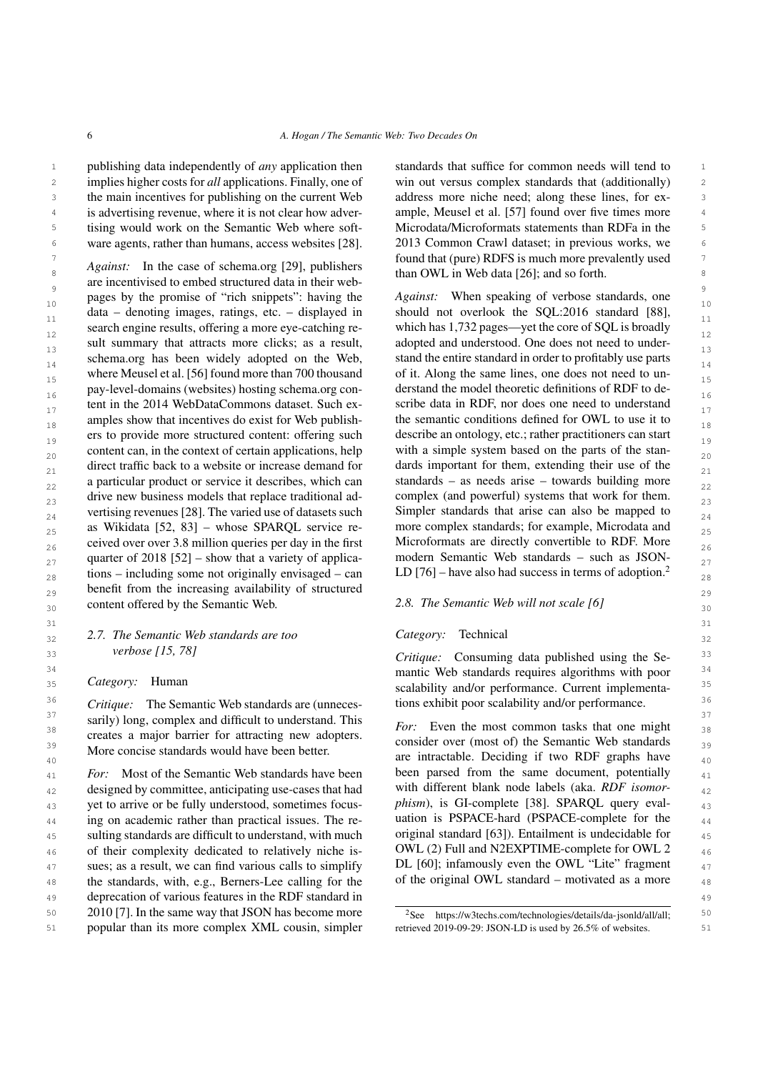1 **publishing data independently of** *any* **application then** standards that suffice for common needs will tend to 2 implies higher costs for *all* applications. Finally, one of win out versus complex standards that (additionally) 2 3 the main incentives for publishing on the current Web address more niche need; along these lines, for ex-<br>3 <sup>4</sup> is advertising revenue, where it is not clear how adver- ample, Meusel et al. [\[57\]](#page-15-23) found over five times more 5 5 Microdata/Microformats statements than RDFa in the is advertising revenue, where it is not clear how advertising would work on the Semantic Web where soft-

 $\frac{1}{8}$   $\frac{1}{8}$   $\frac{1}{100}$   $\frac{1}{100}$   $\frac{1}{100}$   $\frac{1}{100}$   $\frac{1}{100}$   $\frac{1}{100}$   $\frac{1}{100}$   $\frac{1}{100}$   $\frac{1}{100}$   $\frac{1}{100}$   $\frac{1}{100}$   $\frac{1}{100}$   $\frac{1}{100}$   $\frac{1}{100}$   $\frac{1}{100}$   $\frac{1}{100}$   $\frac{1}{100$ are incentivised to embed structured data in their web-10 pages by the promote of their supplets: having the strong measurement when speaking of the set of the set of the 10  $\frac{1}{11}$  data – denoting images, ratings, etc. – displayed in should not overlook the SQL:2016 standard [\[88\]](#page-16-15), search engine results, offering a more eye-catching re-<br>  $\frac{12}{2}$  which has 1,732 pages—yet the core of SQL is broadly  $\frac{13}{14}$  stand the entire standard in order to profitably use parts stemmators have been widely adopted on the Web, stand the entire standard in order to profitably use parts schema.org has been widely adopted on the Web, stand the entire standard in order to profitably use parts  $\frac{14}{14}$ where Meusel et al. [56] found more than 700 thousand of it. Along the same lines, one does not need to unpay-level-domains (websites) hosting schema.org con-<br>16 16 16 tent in the 2014 WebDataCommons dataset. Such ex-<br>  $17$  scribe data in RDF, nor does one need to understand  $_{18}$  amples show that incentives do exist for Web publish-<br> $_{18}$  the semantic conditions defined for OWL to use it to <sub>19</sub> ers to provide more structured content: offering such describe an ontology, etc.; rather practitioners can start  $_{20}$  content can, in the context of certain applications, help with a simple system based on the parts of the stan- $_{21}$  direct traffic back to a website or increase demand for dards important for them, extending their use of the  $_{21}$  $_{22}$  a particular product or service it describes, which can standards – as needs arise – towards building more  $_{22}$  $_{23}$  drive new business models that replace traditional ad-<br> $_{23}$  complex (and powerful) systems that work for them.  $_{24}$  vertising revenues [\[28\]](#page-14-24). The varied use of datasets such Simpler standards that arise can also be mapped to  $_{24}$  $_{25}$  as Wikidata [\[52,](#page-15-14) [83\]](#page-16-3) – whose SPARQL service re- more complex standards; for example, Microdata and  $_{25}$  $_{26}$  ceived over over 3.8 million queries per day in the first Microformats are directly convertible to RDF. More quarter of 2018 [\[52\]](#page-15-14) – show that a variety of applica- modern Semantic Web standards – such as JSON- $_{28}$  tions – including some not originally envisaged – can LD [76] – have also had success in terms of adoption.<sup>2</sup>  $_{29}$  benefit from the increasing availability of structured  $_{29}$  $_{30}$  content offered by the Semantic Web.  $_{30}$  2.8. The Semantic Web will not scale [6] *Against:* In the case of schema.org [\[29\]](#page-14-5), publishers pages by the promise of "rich snippets": having the data – denoting images, ratings, etc. – displayed in sult summary that attracts more clicks; as a result, where Meusel et al. [\[56\]](#page-15-22) found more than 700 thousand content can, in the context of certain applications, help

# 32 32 *2.7. The Semantic Web standards are too verbose [\[15,](#page-14-9) [78\]](#page-16-8)*

*Category:* Human

<sup>37</sup> sarily) long, complex and difficult to understand. This  $F_{\alpha r}$ : Even the most common tasks that one might  $\frac{38}{20}$  **Salty)** folig, complex and difficult to understand. This For: Even the most common tasks that one might  $\frac{38}{28}$  $\frac{39}{2}$  consider over (most of) the Semantic Web standards  $\frac{39}{2}$ *Critique:* The Semantic Web standards are (unnecescreates a major barrier for attracting new adopters. More concise standards would have been better.

<sup>41</sup> *For:* Most of the Semantic Web standards have been been parsed from the same document, potentially <sup>41</sup>  $_{42}$  designed by committee, anticipating use-cases that had with different blank node labels (aka. *RDF isomor*-43 yet to arrive or be fully understood, sometimes focus-<br> $phism$ ), is GI-complete [38]. SPARQL query eval-<br>43 <sup>44</sup> ing on academic rather than practical issues. The re- uation is PSPACE-hard (PSPACE-complete for the <sup>44</sup> 45 sulting standards are difficult to understand, with much original standard [63]). Entailment is undecidable for  $\frac{45}{10}$  $_{46}$  of their complexity dedicated to relatively niche is-<br>OWL (2) Full and N2EXPTIME-complete for OWL 2 <sup>47</sup> sues; as a result, we can find various calls to simplify DL [60]; infamously even the OWL "Lite" fragment  $\frac{47}{47}$ 48 the standards, with, e.g., Berners-Lee calling for the of the original OWL standard – motivated as a more  $\frac{48}{3}$ 49 49 deprecation of various features in the RDF standard in 50 2010 [\[7\]](#page-14-25). In the same way that JSON has become more  $\frac{2\text{See } \text{https://w3techs.com/technologies/details/da-isond/all/all:}}{2\text{See } \text{https://w3techs.com/technologies/details/da-isond/all/all:}}$ 

6 6 ware agents, rather than humans, access websites [\[28\]](#page-14-24).  $\frac{7}{100}$  found that (pure) RDFS is much more prevalently used standards that suffice for common needs will tend to win out versus complex standards that (additionally) address more niche need; along these lines, for ex-2013 Common Crawl dataset; in previous works, we

> *Against:* When speaking of verbose standards, one which has 1,732 pages—yet the core of SQL is broadly adopted and understood. One does not need to underderstand the model theoretic definitions of RDF to describe data in RDF, nor does one need to understand the semantic conditions defined for OWL to use it to describe an ontology, etc.; rather practitioners can start dards important for them, extending their use of the standards – as needs arise – towards building more complex (and powerful) systems that work for them. Simpler standards that arise can also be mapped to more complex standards; for example, Microdata and Microformats are directly convertible to RDF. More modern Semantic Web standards – such as JSON-LD  $[76]$  – have also had success in terms of adoption.<sup>[2](#page-5-0)</sup>

## *2.8. The Semantic Web will not scale [\[6\]](#page-14-27)*

#### <span id="page-5-0"></span>*Category:* Technical

 $31$   $31$ 

33 33 *Critique:* Consuming data published using the Se-<sup>34</sup> 34 **a** mantic Web standards requires algorithms with poor <sup>34</sup> <sup>35</sup> Category: Human 35<br>Scalability and/or performance. Current implementa-<sup>35</sup>  $36$  *Critique*: The Semantic Web standards are (unneces-<br> $36$  tions exhibit poor scalability and/or performance.

 $\frac{40}{40}$  are intractable. Deciding if two RDF graphs have  $\frac{40}{40}$ been parsed from the same document, potentially with different blank node labels (aka. *RDF isomorphism*), is GI-complete [\[38\]](#page-14-28). SPARQL query evaluation is PSPACE-hard (PSPACE-complete for the original standard [\[63\]](#page-15-24)). Entailment is undecidable for OWL (2) Full and N2EXPTIME-complete for OWL 2 DL [\[60\]](#page-15-25); infamously even the OWL "Lite" fragment of the original OWL standard – motivated as a more

<sup>51</sup> popular than its more complex XML cousin, simpler retrieved 2019-09-29: JSON-LD is used by 26.5% of websites. <sup>2</sup>See [https://w3techs.com/technologies/details/da-jsonld/all/all;](https://w3techs.com/technologies/details/da-jsonld/all/all) retrieved 2019-09-29: JSON-LD is used by 26.5% of websites.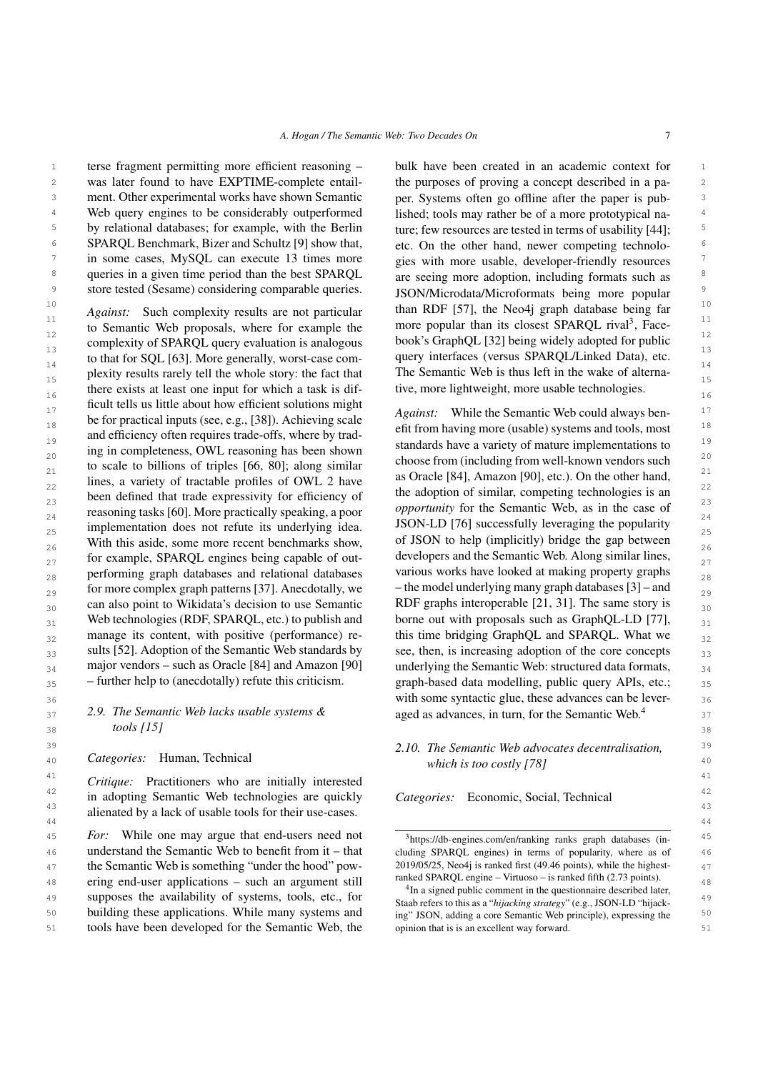1 terse fragment permitting more efficient reasoning – bulk have been created in an academic context for 1 2 2 was later found to have EXPTIME-complete entail-3 3 ment. Other experimental works have shown Semantic <sup>4</sup> Web query engines to be considerably outperformed lished; tools may rather be of a more prototypical na-<sup>5</sup> by relational databases; for example, with the Berlin ture; few resources are tested in terms of usability [44]; <sup>6</sup> SPARQL Benchmark, Bizer and Schultz [\[9\]](#page-14-29) show that, etc. On the other hand, newer competing technolo-<sup>7</sup> in some cases, MySQL can execute 13 times more  $\frac{1}{2}$  gies with more usable, developer-friendly resources <sup>8</sup> queries in a given time period than the best SPARQL are seeing more adoption, including formats such as Web query engines to be considerably outperformed

 $\frac{11}{10}$  to Semantic Web proposals, where for example the more popular than its closest SPARQL rival<sup>[3](#page-6-0)</sup>, Face- $\frac{12}{12}$  to be example the text of example the text of  $\frac{12}{11}$  being widely adopted for public complexity of SPAROL query evaluation is analogous book's GraphQL [\[32\]](#page-14-31) being widely adopted for public 13 13 query interfaces (versus SPARQL/Linked Data), etc. 14 14 The Semantic Web is thus left in the wake of alterna-15 15 plexity results rarely tell the whole story: the fact that there exists at least one input for which a task is dif-<br> $16$  tive, more lightweight, more usable technologies.  $\frac{17}{17}$  he for proctical inputs (see  $\theta$   $\theta$ , [381) Against ascele *Against*: While the Semantic Web could always ben- $\frac{18}{18}$  before plactical inputs (see, e.g., [50]). Exineving scale<br>efft from having more (usable) systems and tools, most  $\frac{18}{18}$  $\frac{19}{19}$  and emergency often requires trade-only, where by trade-<br>ing in completeness OWI reasoning has been shown standards have a variety of mature implementations to  $\frac{20}{20}$  in compressive  $\frac{20}{20}$  in compressive from  $\frac{20}{20}$  along similar choose from (including from well-known vendors such  $\frac{20}{20}$  $\frac{21}{21}$  as Oracle [\[84\]](#page-16-1), Amazon [\[90\]](#page-16-4), etc.). On the other hand,  $\frac{21}{21}$  $\frac{22}{2}$  and  $\frac{22}{2}$  intervals of the adoption of similar, competing technologies is an  $\frac{22}{2}$ <sup>23</sup> been defined that trade expressivity for efficiency of *opportunity* for the Semantic Web, as in the case of  $^{23}$ reasoning tasks [\[60\]](#page-15-25). More practically speaking, a poor opportunity for the Semantic Web, as in the case of  $_{24}$ 25 implementation does not refute its underlying idea. JSON-LD [76] successfully leveraging the popularity  $\frac{25}{25}$ 26 With this aside, some more recent benchmarks show, of JSON to help (implicitly) bridge the gap between  $\frac{26}{3}$  $_{27}$  for example, SPARQL engines being capable of out-<br> $_{27}$  developers and the Semantic Web. Along similar lines,  $_{28}$  performing graph databases and relational databases various works have looked at making property graphs  $_{28}$  $_{29}$  for more complex graph patterns [\[37\]](#page-14-30). Anecdotally, we  $-$  the model underlying many graph databases [3] – and  $_{29}$  $_{30}$  can also point to Wikidata's decision to use Semantic RDF graphs interoperable [21, 31]. The same story is  $_{30}$  $_{31}$  Web technologies (RDF, SPARQL, etc.) to publish and borne out with proposals such as GraphQL-LD [77],  $_{31}$  $_{32}$  manage its content, with positive (performance) re-<br>this time bridging GraphQL and SPARQL. What we  $_{32}$  $33$  sults [52]. Adoption of the Semantic Web standards by see, then, is increasing adoption of the core concepts  $33$  $_{34}$  major vendors – such as Oracle [84] and Amazon [90] underlying the Semantic Web: structured data formats,  $_{34}$  $_{35}$  - further help to (anecdotally) refute this criticism.  $_{\text{graph-based data modelling, public query APIs, etc.;}}$ *Against:* Such complexity results are not particular to Semantic Web proposals, where for example the complexity of SPARQL query evaluation is analogous to that for SQL [\[63\]](#page-15-24). More generally, worst-case comficult tells us little about how efficient solutions might be for practical inputs (see, e.g., [\[38\]](#page-14-28)). Achieving scale and efficiency often requires trade-offs, where by trading in completeness, OWL reasoning has been shown to scale to billions of triples [\[66,](#page-15-16) [80\]](#page-16-16); along similar lines, a variety of tractable profiles of OWL 2 have been defined that trade expressivity for efficiency of manage its content, with positive (performance) results [\[52\]](#page-15-14). Adoption of the Semantic Web standards by major vendors – such as Oracle [\[84\]](#page-16-1) and Amazon [\[90\]](#page-16-4) – further help to (anecdotally) refute this criticism.

#### $38$   $100$   $11$   $1$ *2.9. The Semantic Web lacks usable systems & tools [\[15\]](#page-14-9)*

<sup>41</sup> *Critique:* Practitioners who are initially interested <sup>41</sup> <sup>42</sup> in adopting Semantic Web technologies are quickly *Categories:* Economic, Social, Technical<sup>42</sup> <sup>43</sup> alienated by a lack of usable tools for their use-cases. 44 44

45 *For*: While one may argue that end-users need not  $\frac{3 \text{https://db-enigines.com/en/ranking ranks graph databases (in-45)}{3 \cdot \text{https://db-enigines.com/en/ranking ranks graph databases)}{3 \cdot \text{https://db-enigines.com/en/ranking ranks graph databases}}$ 46 **understand the Semantic Web to benefit from it – that** cluding SPARQL engines) in terms of popularity, where as of 46 47 the Semantic Web is something "under the hood" pow- 2019/05/25, Neo4j is ranked first (49.46 points), while the highest-48 ering end-user applications – such an argument still  $\frac{48}{4}$  and  $\frac{48}{4}$  engine – virtuoso – is ranked ntm (2.73 points). 49 Supposes the availability of systems, tools, etc., for this search this as a "hijacking strategy" (e.g. ISON-ID "hijack. 49 50 building these applications. While many systems and ing" JSON, adding a core Semantic Web principle), expressing the <sup>50</sup> 51 51 tools have been developed for the Semantic Web, the

<sup>9</sup> store tested (Sesame) considering comparable queries. ISON/Microdata/Microformats being more popular <sup>10</sup> *Against:* Such complexity results are not particular than RDF [\[57\]](#page-15-23), the Neo4j graph database being far bulk have been created in an academic context for the purposes of proving a concept described in a paper. Systems often go offline after the paper is pubture; few resources are tested in terms of usability [\[44\]](#page-15-26); etc. On the other hand, newer competing technologies with more usable, developer-friendly resources are seeing more adoption, including formats such as JSON/Microdata/Microformats being more popular tive, more lightweight, more usable technologies.

36 36 with some syntactic glue, these advances can be lever-37 2.9. The Semantic Web lacks usable systems  $\&$  aged as advances, in turn, for the Semantic Web.<sup>[4](#page-6-1)</sup> 37 JSON-LD [\[76\]](#page-16-13) successfully leveraging the popularity of JSON to help (implicitly) bridge the gap between developers and the Semantic Web. Along similar lines, various works have looked at making property graphs – the model underlying many graph databases [\[3\]](#page-14-32) – and RDF graphs interoperable [\[21,](#page-14-33) [31\]](#page-14-34). The same story is borne out with proposals such as GraphQL-LD [\[77\]](#page-16-17),

#### 39 39 *2.10. The Semantic Web advocates decentralisation,* 40 40 *Categories:* Human, Technical *which is too costly [\[78\]](#page-16-8)*

*Categories:* Economic, Social, Technical

<span id="page-6-0"></span><sup>3</sup><https://db-engines.com/en/ranking> ranks graph databases (including SPARQL engines) in terms of popularity, where as of 2019/05/25, Neo4j is ranked first (49.46 points), while the highestranked SPARQL engine – Virtuoso – is ranked fifth (2.73 points).

<span id="page-6-1"></span><sup>4</sup> In a signed public comment in the questionnaire described later, Staab refers to this as a "*hijacking strategy*" (e.g., JSON-LD "hijacking" JSON, adding a core Semantic Web principle), expressing the opinion that is is an excellent way forward.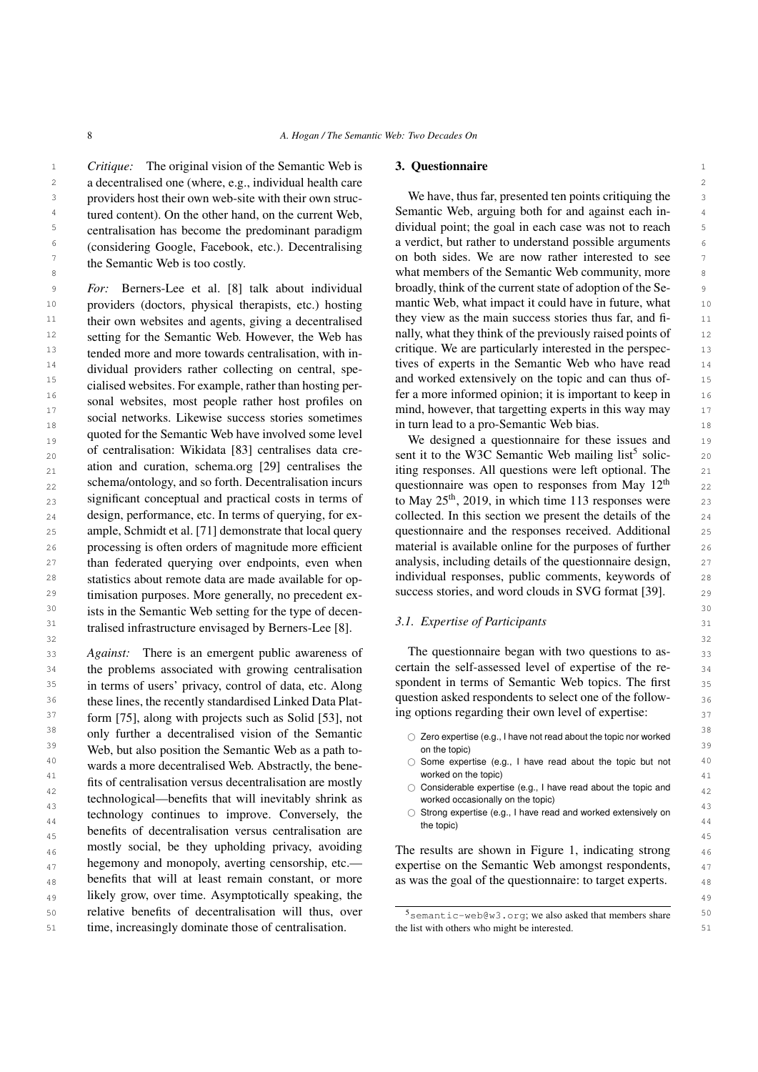1 1 *Critique:* The original vision of the Semantic Web is 2 2 a decentralised one (where, e.g., individual health care <sup>3</sup> providers host their own web-site with their own struc-<br><sup>3</sup> We have, thus far, presented ten points critiquing the <sup>4</sup> tured content). On the other hand, on the current Web, Semantic Web, arguing both for and against each in-<sup>5</sup> centralisation has become the predominant paradigm dividual point; the goal in each case was not to reach <sup>5</sup> <sup>6</sup> (considering Google Eacehook etc.) Decentralising a verdict, but rather to understand possible arguments <sup>7</sup> the Semantic Web is too costly **the Semantic Web is too costly on both sides. We are now rather interested to see** centralisation has become the predominant paradigm (considering Google, Facebook, etc.). Decentralising the Semantic Web is too costly.

*For:* Berners-Lee et al. [\[8\]](#page-14-1) talk about individual broadly, think of the current state of adoption of the Se-<sup>10</sup> providers (doctors, physical therapists, etc.) hosting mantic Web, what impact it could have in future, what <sup>11</sup> their own websites and agents, giving a decentralised they view as the main success stories thus far, and fi-<sup>12</sup> setting for the Semantic Web. However, the Web has hally, what they think of the previously raised points of 12 <sup>13</sup> tended more and more towards centralisation with in-<br><sup>13</sup> tended more and more towards centralisation with in-<br>**critique.** We are particularly interested in the perspec-<sup>14</sup> dividual providers rather collecting on central spe-<br>tives of experts in the Semantic Web who have read <sup>14</sup> 15 is defined website For example rather than begins and worked extensively on the topic and can thus of-<br>and worked extensively on the topic and can thus of-16 16 fer a more informed opinion; it is important to keep in 17 17 mind, however, that targetting experts in this way may 18 18 in turn lead to a pro-Semantic Web bias. <sup>19</sup> <sup>19</sup> quoted for the semantic web have involved some lever<br>We designed a questionnaire for these issues and <sup>19</sup> 20 of centralisation: Wikidata [83] centralises data cre-<br>sent it to the W3C Semantic Web mailing list<sup>[5](#page-7-1)</sup> solic-<br>20  $_{21}$  ation and curation, schema.org [29] centralises the iting responses. All questions were left optional. The  $_{21}$  $_{22}$  schema/ontology, and so forth. Decentralisation incurs questionnaire was open to responses from May 12<sup>th</sup>  $_{22}$ 23 significant conceptual and practical costs in terms of to May  $25<sup>th</sup>$ , 2019, in which time 113 responses were 23  $_{24}$  design, performance, etc. In terms of querying, for ex-<br>collected. In this section we present the details of the  $_{24}$ 25 ample, Schmidt et al. [71] demonstrate that local query questionnaire and the responses received. Additional 25 26 processing is often orders of magnitude more efficient material is available online for the purposes of further 26 <sup>27</sup> than federated querying over endpoints, even when analysis, including details of the questionnaire design, <sup>27</sup> 28 statistics about remote data are made available for op- individual responses, public comments, keywords of 28 <sup>29</sup> imisation purposes. More generally, no precedent ex-<br><sup>29</sup> success stories, and word clouds in SVG format [39]. <sup>30</sup> ists in the Semantic Web setting for the type of decen-<br><sup>30</sup>  $31$  tralised infrastructure envisaged by Berners-Lee [\[8\]](#page-14-1).  $31$  Expertise of Participants setting for the Semantic Web. However, the Web has tended more and more towards centralisation, with individual providers rather collecting on central, specialised websites. For example, rather than hosting personal websites, most people rather host profiles on social networks. Likewise success stories sometimes quoted for the Semantic Web have involved some level of centralisation: Wikidata [\[83\]](#page-16-3) centralises data creation and curation, schema.org [\[29\]](#page-14-5) centralises the schema/ontology, and so forth. Decentralisation incurs significant conceptual and practical costs in terms of design, performance, etc. In terms of querying, for example, Schmidt et al. [\[71\]](#page-15-27) demonstrate that local query statistics about remote data are made available for op-

33 Against: There is an emergent public awareness of The questionnaire began with two questions to as-<sup>34</sup> the problems associated with growing centralisation certain the self-assessed level of expertise of the re-<sup>35</sup> in terms of users' privacy, control of data, etc. Along spondent in terms of Semantic Web topics. The first <sup>36</sup> these lines, the recently standardised Linked Data Plat- question asked respondents to select one of the follow- $37$  form [\[75\]](#page-16-18), along with projects such as Solid [\[53\]](#page-15-28), not and ng options regarding their own level of expertise: <sup>38</sup> only further a decentralised vision of the Semantic  $\bigcirc$  Zero expertise (e.g., I have not read about the topic nor worked <sup>39</sup> Web, but also position the Semantic Web as a path to-<br><sup>39</sup> on the topic) 40 wards a more decentralised Web. Abstractly, the bene-<br>  $\bigcirc$  Some expertise (e.g., I have read about the topic but not 40 <sup>41</sup><br>a fits of centralisation versus decentralisation are mostly  $\bigcirc$  considerable experies (e.g. I have read about the topic and  $42$  Have read about the topic and<br> $42$   $\rightarrow$   $42$   $\rightarrow$   $42$   $\rightarrow$   $42$   $\rightarrow$   $42$   $\rightarrow$   $42$   $\rightarrow$   $42$  $\frac{43}{44}$  technology continues to improve. Conversely, the  $\frac{43}{44}$  o Strong expertise (e.g., I have read and worked extensively on technology continues to improve. Conversely, the  $^{14}$   $\circ$  Strong expertise (e.g., I have read and worked extensively on  $45$  benefits of decentralisation versus centralisation are  $45$  $_{46}$  mostly social, be they upholding privacy, avoiding The results are shown in Figure [1,](#page-8-0) indicating strong  $_{46}$  $_{47}$  hegemony and monopoly, averting censorship, etc.— expertise on the Semantic Web amongst respondents,  $_{47}$  $_{48}$  benefits that will at least remain constant, or more as was the goal of the questionnaire: to target experts.  $_{48}$ 49 49 likely grow, over time. Asymptotically speaking, the 50 **Figure 1 EXECUTE:** 50 **CONSTRIGHTER 150** 50 **FIGURE 1 S**  $s_{\text{semantic-web@w3.org}}$ ; we also asked that members share 50 51 time, increasingly dominate those of centralisation. the list with others who might be interested. 51 wards a more decentralised Web. Abstractly, the benetechnological—benefits that will inevitably shrink as mostly social, be they upholding privacy, avoiding hegemony and monopoly, averting censorship, etc. benefits that will at least remain constant, or more relative benefits of decentralisation will thus, over

## <span id="page-7-0"></span>3. Questionnaire

8
what members of the Semantic Web community, more 8 We have, thus far, presented ten points critiquing the Semantic Web, arguing both for and against each inbroadly, think of the current state of adoption of the Semantic Web, what impact it could have in future, what they view as the main success stories thus far, and fi-

> material is available online for the purposes of further analysis, including details of the questionnaire design, success stories, and word clouds in SVG format [\[39\]](#page-14-35).

# *3.1. Expertise of Participants*

The questionnaire began with two questions to ascertain the self-assessed level of expertise of the respondent in terms of Semantic Web topics. The first question asked respondents to select one of the following options regarding their own level of expertise:

- $\bigcirc$  Zero expertise (e.g., I have not read about the topic nor worked on the topic)
- worked on the topic)
- worked occasionally on the topic)
- the topic)

<span id="page-7-1"></span>the list with others who might be interested.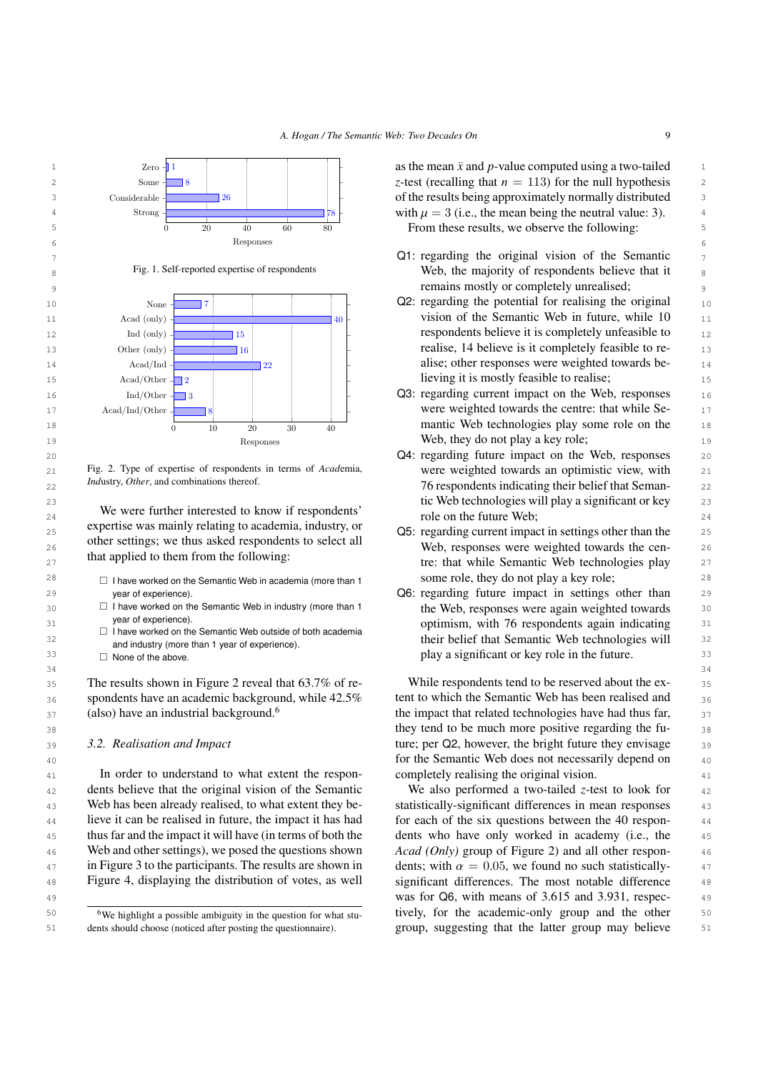*A. Hogan / The Semantic Web: Two Decades On* 9



<span id="page-8-1"></span>Fig. 2. Type of expertise of respondents in terms of *Acad*emia, *Ind*ustry, *Other*, and combinations thereof.

<sup>25</sup> experise was manny relating to academia, moustly, or Q5: regarding current impact in settings other than the <sup>25</sup> 26 26 Web, responses were weighted towards the cen-We were further interested to know if respondents' expertise was mainly relating to academia, industry, or other settings; we thus asked respondents to select all that applied to them from the following:

- year of experience).
- $\Box$  I have worked on the Semantic Web in industry (more than 1 year of experience).
- $\Box$  I have worked on the Semantic Web outside of both academia and industry (more than 1 year of experience).
- $34$  $\Box$  None of the above

35 The results shown in Figure [2](#page-8-1) reveal that 63.7% of re-<br>While respondents tend to be reserved about the ex-<br>35  $36$  spondents have an academic background, while  $42.5\%$  tent to which the Semantic Web has been realised and  $36$ (also) have an industrial background.<sup>[6](#page-8-2)</sup>

## *3.2. Realisation and Impact*

<sup>41</sup> 41 **In** order to understand to what extent the respon-<br><sup>41</sup> <sup>42</sup> dents believe that the original vision of the Semantic We also performed a two-tailed z-test to look for <sup>42</sup> 43 Web has been already realised, to what extent they be-<br>43 Web has been already realised, to what extent they be-<br>5 statistically-significant differences in mean responses <sup>44</sup> lieve it can be realised in future, the impact it has had for each of the six questions between the 40 respon-45 thus far and the impact it will have (in terms of both the dents who have only worked in academy (i.e., the 45 46 Web and other settings), we posed the questions shown Acad (Only) group of Figure [2\)](#page-8-1) and all other respon-47 in Figure 3 to the participants. The results are shown in dents; with  $\alpha = 0.05$ , we found no such statistically-<br> $\alpha$   $\alpha$   $\beta$   $\beta$ 48 Figure 4, displaying the distribution of votes, as well significant differences. The most notable difference 48 Web has been already realised, to what extent they be-Web and other settings), we posed the questions shown in Figure [3](#page-10-0) to the participants. The results are shown in Figure [4,](#page-10-1) displaying the distribution of votes, as well

<span id="page-8-2"></span><sup>6</sup>We highlight a possible ambiguity in the question for what students should choose (noticed after posting the questionnaire).

- 
- 
- 
- 20 **Q4: regarding future impact on the Web, responses** 20  $_{21}$  Fig. 2. Type of expertise of respondents in terms of *Academia*, were weighted towards an optimistic view, with  $_{21}$ *22 Industry, Other,* and combinations thereor.  $\frac{22}{2}$  **76** respondents indicating their belief that Seman-23 23 tic Web technologies will play a significant or key  $24$  we were future interested to know it respondents role on the future Web;  $24$
- $27$  and applied to them from the following. The tree that while Semantic Web technologies play  $27$  $^{28}$   $\hfill$  I have worked on the Semantic Web in academia (more than 1  $\hfill$  some role, they do not play a key role;  $\hfill$   $^{28}$ some role, they do not play a key role;
- 29 29 Q6: regarding future impact in settings other than 30 **I** I have worked on the Semantic Web in industry (more than 1 the Web, responses were again weighted towards 30 31 31 optimism, with 76 respondents again indicating 32 32 their belief that Semantic Web technologies will  $33 \Box$  None of the above.  $33 \Box$  None of the above.  $33 \Box$

 $37$  (also) have an industrial background.<sup>6</sup> the impact that related technologies have had thus far,  $37$  $\frac{38}{38}$  they tend to be much more positive regarding the fu-39 3.2. Realisation and Impact **1996** ture; per Q2, however, the bright future they envisage 39 40 40 for the Semantic Web does not necessarily depend on While respondents tend to be reserved about the extent to which the Semantic Web has been realised and completely realising the original vision.

49 49 was for Q6, with means of 3.615 and 3.931, respec- $\frac{60}{100}$  The substraint a possible ambiguity in the question for what stu-<br>tively, for the academic-only group and the other 50 51 dents should choose (noticed after posting the questionnaire). group, suggesting that the latter group may believe 51 We also performed a two-tailed *z*-test to look for for each of the six questions between the 40 respondents who have only worked in academy (i.e., the

<span id="page-8-0"></span>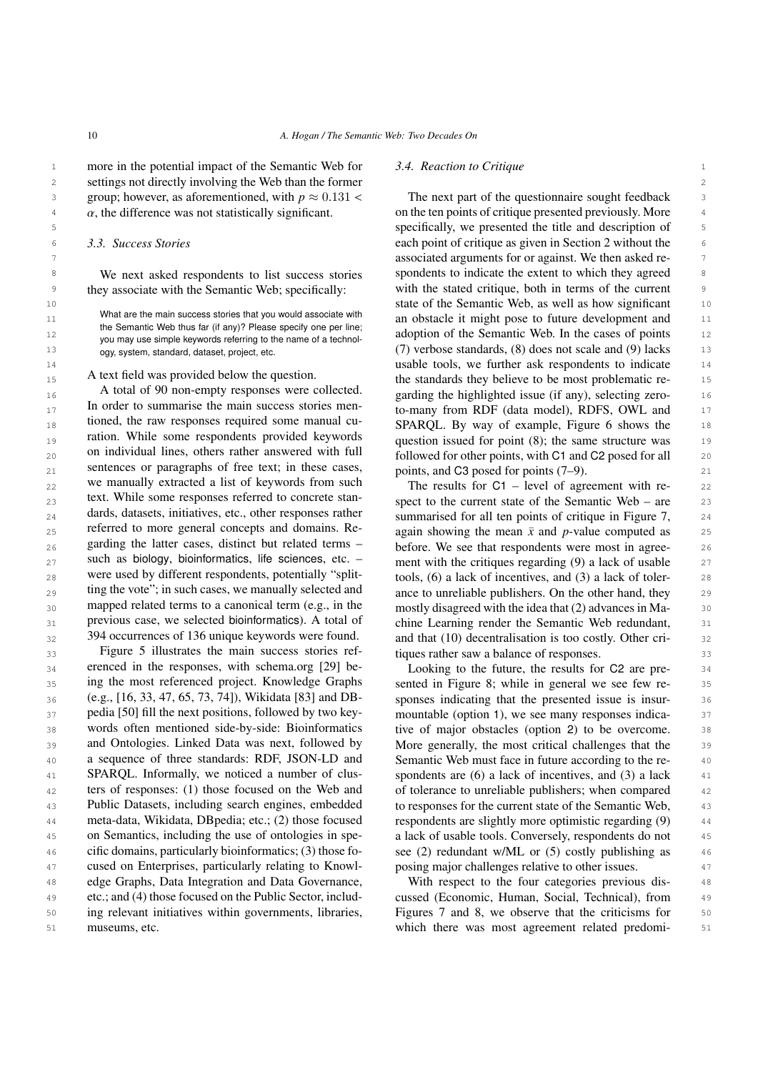1 1 more in the potential impact of the Semantic Web for 2 2 settings not directly involving the Web than the former  $\alpha$ , the difference was not statistically significant.

## *3.3. Success Stories*

We next asked respondents to list success stories they associate with the Semantic Web; specifically:

What are the main success stories that you would associate with the Semantic Web thus far (if any)? Please specify one per line; you may use simple keywords referring to the name of a technology, system, standard, dataset, project, etc.

A text field was provided below the question.

 $^{16}$  A total of 90 non-empty responses were conected.  $^{2}$  garding the highlighted issue (if any), selecting zero- $17$  In order to summarise the main success stories mental to-many from RDF (data model), RDFS, OWL and  $17$ 18 18 SPARQL. By way of example, Figure [6](#page-11-1) shows the <sub>19</sub> ration. While some respondents provided keywords question issued for point (8); the same structure was 19  $_{20}$  on individual lines, others rather answered with  $\pi$  followed for other points, with C1 and C2 posed for all  $_{20}$ 21 sentences or paragraphs of free text; in these cases,  $\mu$  points, and C3 posed for points (7–9).  $_{22}$  we manually extracted a list of keywords from such  $_{22}$  The results for C1 – level of agreement with re- $_{23}$  rext. While some responses referred to concrete stan-<br>spect to the current state of the Semantic Web – are  $_{23}$  $_{24}$  dards, datasets, initiatives, etc., other responses rather summarised for all ten points of critique in Figure [7,](#page-11-2)  $_{24}$  $_{25}$  referred to more general concepts and domains. Re-<br>again showing the mean  $\bar{x}$  and *p*-value computed as  $_{25}$  $_{26}$  garding the latter cases, distinct but related terms  $-$  before. We see that respondents were most in agree-  $_{26}$ 27 such as biology, bioinformatics, life sciences, etc.  $-$  ment with the critiques regarding (9) a lack of usable 27  $_{28}$  were used by different respondents, potentially "split- tools, (6) a lack of incentives, and (3) a lack of toler- 28  $_{29}$  ting the vote  $\gamma$ ; in such cases, we manually selected and ance to unreliable publishers. On the other hand, they  $_{29}$  $_{30}$  mapped related terms to a canonical term (e.g., in the mostly disagreed with the idea that (2) advances in Ma-  $_{30}$ 31 previous case, we selected bioinformatics). A total of chine Learning render the Semantic Web redundant, 31 A total of 90 non-empty responses were collected. In order to summarise the main success stories mentioned, the raw responses required some manual curation. While some respondents provided keywords on individual lines, others rather answered with full sentences or paragraphs of free text; in these cases, we manually extracted a list of keywords from such text. While some responses referred to concrete standards, datasets, initiatives, etc., other responses rather referred to more general concepts and domains. Regarding the latter cases, distinct but related terms – such as biology, bioinformatics, life sciences, etc. – were used by different respondents, potentially "splitting the vote"; in such cases, we manually selected and mapped related terms to a canonical term (e.g., in the previous case, we selected bioinformatics). A total of 394 occurrences of 136 unique keywords were found.

33 33 Figure [5](#page-11-0) illustrates the main success stories ref-<sub>34</sub> erenced in the responses, with schema.org [29] be-<br>Looking to the future, the results for C2 are pre-<br>34 <sup>35</sup> ing the most referenced project. Knowledge Graphs sented in Figure [8;](#page-11-3) while in general we see few re- $36$  (e.g., [16, 33, 47, 65, 73, 74]), Wikidata [83] and DB- sponses indicating that the presented issue is insur-37 pedia [50] fill the next positions, followed by two key- mountable (option 1), we see many responses indica-38 words often mentioned side-by-side: Bioinformatics tive of major obstacles (option 2) to be overcome. 38 39 and Ontologies. Linked Data was next, followed by More generally, the most critical challenges that the 39 40 **a** sequence of three standards: RDF, JSON-LD and Semantic Web must face in future according to the re-41 SPARQL. Informally, we noticed a number of clus-<br>spondents are (6) a lack of incentives, and (3) a lack 41 <sup>42</sup> ters of responses: (1) those focused on the Web and of tolerance to unreliable publishers; when compared <sup>42</sup> 43 Public Datasets, including search engines, embedded to responses for the current state of the Semantic Web, 43 44 meta-data, Wikidata, DB pedia; etc.; (2) those focused respondents are slightly more optimistic regarding (9) <sup>45</sup> on Semantics, including the use of ontologies in spe- a lack of usable tools. Conversely, respondents do not 46 cific domains, particularly bioinformatics; (3) those fo- see (2) redundant w/ML or (5) costly publishing as 46 <sup>47</sup> cused on Enterprises, particularly relating to Knowl- posing major challenges relative to other issues. 48 48 edge Graphs, Data Integration and Data Governance, 49 etc.; and (4) those focused on the Public Sector, includ- cussed (Economic, Human, Social, Technical), from 49 50 50 ing relevant initiatives within governments, libraries, erenced in the responses, with schema.org [\[29\]](#page-14-5) being the most referenced project. Knowledge Graphs (e.g., [\[16,](#page-14-7) [33,](#page-14-6) [47,](#page-15-8) [65,](#page-15-7) [73,](#page-16-6) [74\]](#page-16-5)), Wikidata [\[83\]](#page-16-3) and DBpedia [\[50\]](#page-15-29) fill the next positions, followed by two keywords often mentioned side-by-side: Bioinformatics and Ontologies. Linked Data was next, followed by a sequence of three standards: RDF, JSON-LD and SPARQL. Informally, we noticed a number of clusters of responses: (1) those focused on the Web and Public Datasets, including search engines, embedded meta-data, Wikidata, DBpedia; etc.; (2) those focused on Semantics, including the use of ontologies in specific domains, particularly bioinformatics; (3) those foetc.; and (4) those focused on the Public Sector, includmuseums, etc.

#### *3.4. Reaction to Critique*

3 3 group; however, as aforementioned, with *<sup>p</sup>* <sup>≈</sup> <sup>0</sup>.<sup>131</sup> <  $\alpha$ , the difference was not statistically significant.  $\alpha$  on the ten points of critique presented previously. More 5 5 specifically, we presented the title and description of 6 3.3. Success Stories Stories and the cach point of critique as given in Section [2](#page-2-0) without the 6 7 7 associated arguments for or against. We then asked re-<sup>8</sup> We next asked respondents to list success stories spondents to indicate the extent to which they agreed <sup>8</sup> <sup>9</sup> they associate with the Semantic Web; specifically: with the stated critique, both in terms of the current <sup>9</sup> 10 10 state of the Semantic Web, as well as how significant 11 what are the main success stories that you would associate with an obstacle it might pose to future development and 11 12 12 adoption of the Semantic Web. In the cases of points <sup>13</sup> ogy, system, standard, dataset, project, etc. (7) verbose standards, (8) does not scale and (9) lacks <sup>13</sup> 14 14 usable tools, we further ask respondents to indicate 15 A text held was provided below the question. The standards they believe to be most problematic re-The next part of the questionnaire sought feedback

 $32$  394 occurrences of 136 unique keywords were found.  $\qquad$  and that (10) decentralisation is too costly. Other critiques rather saw a balance of responses.

posing major challenges relative to other issues.

51 51 which there was most agreement related predomi-With respect to the four categories previous dis-Figures [7](#page-11-2) and [8,](#page-11-3) we observe that the criticisms for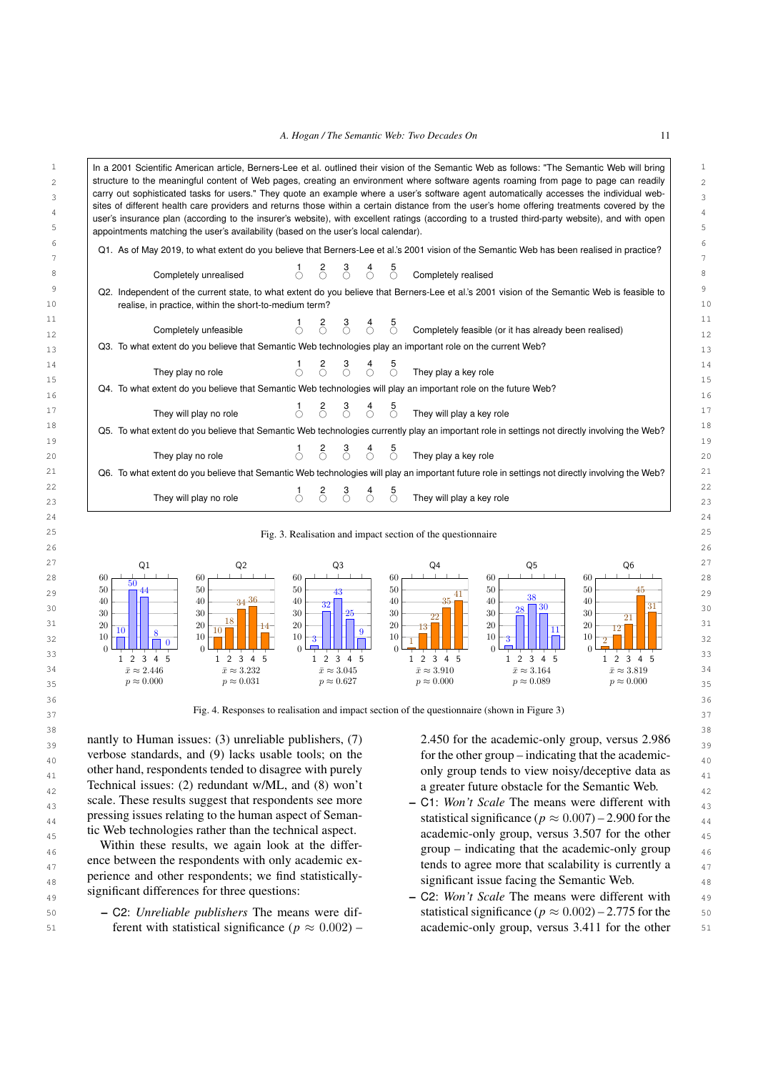| sites of different health care providers and returns those within a certain distance from the user's home offering treatments covered by the<br>user's insurance plan (according to the insurer's website), with excellent ratings (according to a trusted third-party website), and with open |                   |                                                                                             |                                              |               |                   |                                                             |                                                       |                                              |
|------------------------------------------------------------------------------------------------------------------------------------------------------------------------------------------------------------------------------------------------------------------------------------------------|-------------------|---------------------------------------------------------------------------------------------|----------------------------------------------|---------------|-------------------|-------------------------------------------------------------|-------------------------------------------------------|----------------------------------------------|
| appointments matching the user's availability (based on the user's local calendar).                                                                                                                                                                                                            |                   |                                                                                             |                                              |               |                   |                                                             |                                                       |                                              |
| Q1. As of May 2019, to what extent do you believe that Berners-Lee et al.'s 2001 vision of the Semantic Web has been realised in practice?                                                                                                                                                     |                   |                                                                                             |                                              |               |                   |                                                             |                                                       |                                              |
| Completely unrealised                                                                                                                                                                                                                                                                          |                   | $\delta$                                                                                    | $\sigma$                                     | $\sigma^4$    | $\frac{5}{\circ}$ | Completely realised                                         |                                                       |                                              |
| Q2. Independent of the current state, to what extent do you believe that Berners-Lee et al.'s 2001 vision of the Semantic Web is feasible to<br>realise, in practice, within the short-to-medium term?                                                                                         |                   |                                                                                             |                                              |               |                   |                                                             |                                                       |                                              |
| Completely unfeasible                                                                                                                                                                                                                                                                          | $\frac{1}{\circ}$ | $\delta$                                                                                    | $\sigma$                                     | $\dot{\odot}$ | $\sigma$          |                                                             | Completely feasible (or it has already been realised) |                                              |
| Q3. To what extent do you believe that Semantic Web technologies play an important role on the current Web?                                                                                                                                                                                    |                   |                                                                                             |                                              |               |                   |                                                             |                                                       |                                              |
| They play no role                                                                                                                                                                                                                                                                              |                   | $\begin{array}{ccc} 1 & 2 & 3 & 4 \\ \bigcirc & \bigcirc & \bigcirc & \bigcirc \end{array}$ |                                              |               | $\frac{5}{\circ}$ | They play a key role                                        |                                                       |                                              |
| Q4. To what extent do you believe that Semantic Web technologies will play an important role on the future Web?                                                                                                                                                                                |                   |                                                                                             |                                              |               |                   |                                                             |                                                       |                                              |
| They will play no role                                                                                                                                                                                                                                                                         |                   | $\delta$                                                                                    | $\delta$                                     | $\sigma$      | $\frac{5}{\circ}$ | They will play a key role                                   |                                                       |                                              |
| Q5. To what extent do you believe that Semantic Web technologies currently play an important role in settings not directly involving the Web?                                                                                                                                                  |                   |                                                                                             |                                              |               |                   |                                                             |                                                       |                                              |
|                                                                                                                                                                                                                                                                                                |                   |                                                                                             |                                              |               |                   |                                                             |                                                       |                                              |
| They play no role                                                                                                                                                                                                                                                                              | Ó                 | $\delta$                                                                                    | $\delta$                                     | $\sigma^4$    | $\frac{5}{\circ}$ | They play a key role                                        |                                                       |                                              |
| Q6. To what extent do you believe that Semantic Web technologies will play an important future role in settings not directly involving the Web?                                                                                                                                                |                   |                                                                                             |                                              |               |                   |                                                             |                                                       |                                              |
| They will play no role                                                                                                                                                                                                                                                                         | Ω                 | $\delta$                                                                                    | $\delta$                                     | $\sigma$      | $\sigma$          | They will play a key role                                   |                                                       |                                              |
|                                                                                                                                                                                                                                                                                                |                   |                                                                                             |                                              |               |                   | Fig. 3. Realisation and impact section of the questionnaire |                                                       |                                              |
|                                                                                                                                                                                                                                                                                                |                   |                                                                                             |                                              |               |                   |                                                             |                                                       |                                              |
| Q1<br>Q <sub>2</sub>                                                                                                                                                                                                                                                                           |                   |                                                                                             | Q <sub>3</sub>                               |               |                   | Q4                                                          | Q5                                                    | Q6                                           |
| 60<br>60<br>50                                                                                                                                                                                                                                                                                 | 60                |                                                                                             |                                              |               | 60                |                                                             | 60                                                    | 60<br>45                                     |
| 50<br>50<br>44<br>3436<br>40<br>40                                                                                                                                                                                                                                                             | 50<br>40          | 32                                                                                          | 43                                           |               | 50<br>40          | 41<br>35                                                    | 50<br>38<br>40                                        | 50<br>40                                     |
| 30<br>30<br>18                                                                                                                                                                                                                                                                                 | 30                |                                                                                             | 25                                           |               | 30                | $22\,$                                                      | 30<br>28<br>30                                        | 31<br>30<br>21                               |
| 20<br>20<br>-14<br>10<br>$10\,$<br>8<br>10                                                                                                                                                                                                                                                     | 20                |                                                                                             |                                              | 9             | 20                | 13                                                          | 20<br>11                                              | 20<br>12                                     |
| 10<br>$\overline{0}$<br>$\Omega$<br>$\Omega$                                                                                                                                                                                                                                                   | 10<br>$\Omega$    | 3                                                                                           |                                              |               | 10<br>$\Omega$    |                                                             | 10<br>$\Omega$                                        | 10                                           |
| 1 2 3 4 5<br>1 2 3 4 5                                                                                                                                                                                                                                                                         |                   |                                                                                             | 1 2 3 4 5                                    |               |                   | 1 2 3 4 5                                                   | 1 2 3 4 5                                             | 1 2 3 4 5                                    |
| $\bar{x} \approx 2.446$<br>$\bar{x} \approx 3.232$<br>$p \approx 0.000$<br>$p \approx 0.031$                                                                                                                                                                                                   |                   |                                                                                             | $\bar{x} \approx 3.045$<br>$p \approx 0.627$ |               |                   | $\bar{x} \approx 3.910$<br>$p \approx 0.000$                | $\bar{x} \approx 3.164$<br>$p \approx 0.089$          | $\bar{x} \approx 3.819$<br>$p \approx 0.000$ |

<span id="page-10-1"></span> $_{39}$  nantly to Human issues: (3) unreliable publishers, (7)  $\qquad 2.450$  for the academic-only group, versus 2.986  $_{39}$ verbose standards, and (9) lacks usable tools; on the for the other group – indicating that the academicother hand, respondents tended to disagree with purely only group tends to view noisy/deceptive data as  $_{41}$  $_{42}$  Technical issues: (2) redundant w/ML, and (8) won't a greater future obstacle for the Semantic Web.  $_{43}$  scale. These results suggest that respondents see more  $-$  C1: *Won't Scale* The means were different with  $_{43}$ pressing issues relating to the human aspect of Seman-<br>tic Web technologies rather than the technical aspect.<br>academic only group versus 3.507 for the other nantly to Human issues: (3) unreliable publishers, (7) verbose standards, and (9) lacks usable tools; on the other hand, respondents tended to disagree with purely Technical issues: (2) redundant w/ML, and (8) won't scale. These results suggest that respondents see more pressing issues relating to the human aspect of Semantic Web technologies rather than the technical aspect.

46 Within these results, we again look at the differ-<br>group – indicating that the academic-only group are between the respondents with only academic ex-<br>tends to agree more that scalability is currently a <sup>48</sup> experience and other respondents; we find statistically-<br><sup>48</sup> significant issue facing the Semantic Web. Within these results, we again look at the difference between the respondents with only academic experience and other respondents; we find statisticallysignificant differences for three questions:

50  $-$  C2: *Unreliable publishers* The means were dif-<br>50  $\mu \approx 0.002$   $-$  2.775 for the 50 51 **ferent with statistical significance (** $p \approx 0.002$ **) – academic-only group, versus 3.411 for the other** 51

<span id="page-10-0"></span>

- $_{45}$  tic web technologies rather than the technical aspect.  $_{\text{academic-only group, versus } 3.507 \text{ for the other }_{\text{45}}$
- $_{49}$  significant differences for the questions.  $-$  C2: *Won't Scale* The means were different with  $_{49}$ statistical significance ( $p \approx 0.002$ ) – 2.775 for the academic-only group, versus 3.411 for the other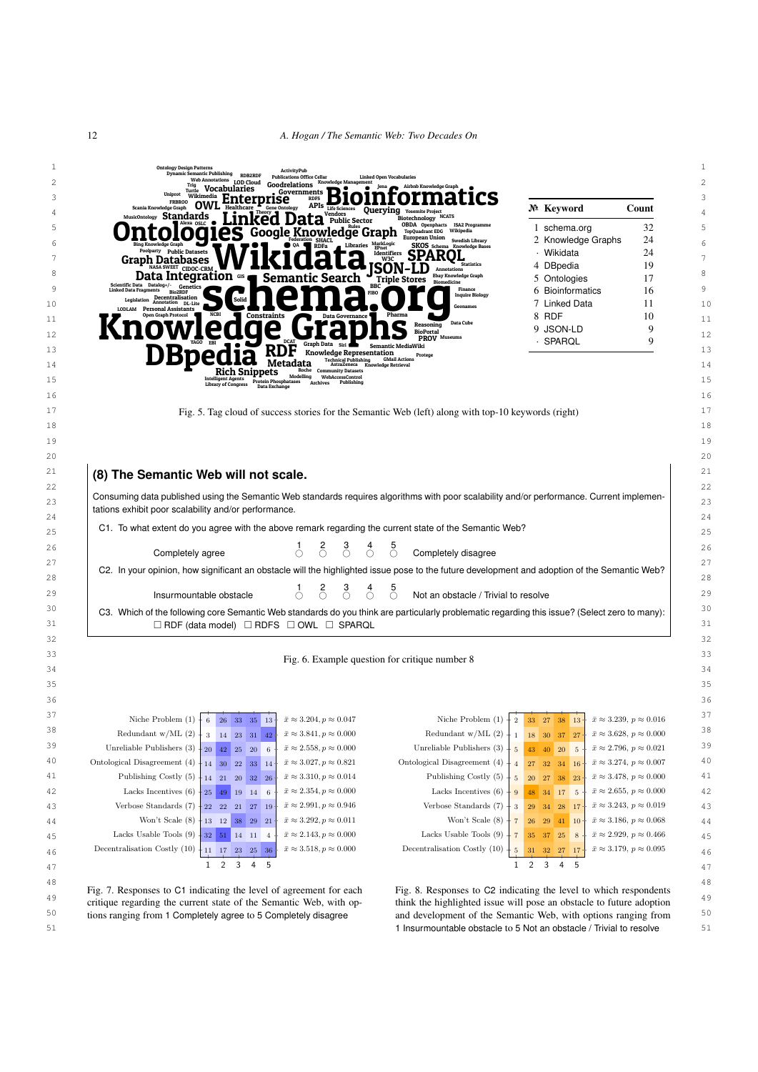# 12 *A. Hogan / The Semantic Web: Two Decades On*

| Uniprot<br>Wikimedia<br><b>RDFS</b><br>nterprise<br><b>FRBROO</b><br>$APIs$ Life S<br>Scania Knowledge Graph<br>Healthcare<br><b>Gene Ontology</b><br><b>Querying</b> Yosemite Project  | № Keyword                                                                          | Count                                       |
|-----------------------------------------------------------------------------------------------------------------------------------------------------------------------------------------|------------------------------------------------------------------------------------|---------------------------------------------|
| Vendors<br>MusicOntology Standards<br><b>NCATS</b><br><b>nked Data</b> Fublic Sector<br>Biotechnology<br><b>OBDA</b> Openphacts<br><b>ISA2 Programme</b>                                | 1 schema.org                                                                       | 32                                          |
| Google Knowledge Graph<br><b>TopQuadrant EDG</b><br>Wikipedia<br><b>European Union</b><br><b>Swedish Library</b><br>MarkLogic                                                           | 2 Knowledge Graphs                                                                 | 24                                          |
| Libraries<br>Bing Knowledge Graph<br>SKOS Schema Knowledge Bases<br>OA.<br><b>RDFa</b><br><b>Poolparty</b> Public Datasets<br>Identifiers                                               | · Wikidata                                                                         | 24                                          |
| W3C<br>Graph Databases<br><b>Statistics</b><br>ISON-<br>NASA SWEET CIDOC-CRM<br>Annotations                                                                                             | 4 DBpedia                                                                          | 19                                          |
| <b>Ebay Knowledge Graph</b><br>Data Integration $\frac{d}{dx}$<br>Semantic Search<br><b>Triple Stores</b><br><b>Biomedicine</b><br>Scientific Data Datalog+/-<br><b>BBC</b><br>Genetics | 5 Ontologies                                                                       | 17                                          |
| Finance<br><b>Linked Data Fragments</b><br><b>Bio2RD</b><br><b>FIBO</b><br><b>Inquire Biology</b><br>Legislation Decentralisation<br>nL-Lite<br>Solid                                   | 6 Bioinformatics                                                                   | 16                                          |
| Geonames<br>LODLAM Personal Assistants<br>Pharma<br>Constraints<br>Data Governance                                                                                                      | 7 Linked Data<br>8 RDF                                                             | 11<br>10                                    |
| Data Cube<br>Reasoning<br><b>BioPortal</b>                                                                                                                                              | 9 JSON-LD                                                                          | 9                                           |
| <b>PROV</b> Museums<br>Graph Data Siri<br>Semantic MediaWiki                                                                                                                            | · SPARQL                                                                           | 9                                           |
| Knowledge Representation<br>Protege<br><b>Technical Publishing</b><br><b>GMail Actions</b>                                                                                              |                                                                                    |                                             |
| Metadata<br>AstraZeneca Knowledge Retrieval<br>Roche<br><b>Community Datasets</b><br>Rich Snippets<br>Modelling                                                                         |                                                                                    |                                             |
| WebAccessControl<br>hives Publishing<br><b>Intelligent Agents</b><br>Protein Phosphatases<br>Archives<br><b>Library of Congress</b><br>Data Exchange                                    |                                                                                    |                                             |
|                                                                                                                                                                                         |                                                                                    |                                             |
| Fig. 5. Tag cloud of success stories for the Semantic Web (left) along with top-10 keywords (right)                                                                                     |                                                                                    |                                             |
|                                                                                                                                                                                         |                                                                                    |                                             |
|                                                                                                                                                                                         |                                                                                    |                                             |
|                                                                                                                                                                                         |                                                                                    |                                             |
| (8) The Semantic Web will not scale.                                                                                                                                                    |                                                                                    |                                             |
|                                                                                                                                                                                         |                                                                                    |                                             |
| Consuming data published using the Semantic Web standards requires algorithms with poor scalability and/or performance. Current implemen-                                               |                                                                                    |                                             |
| tations exhibit poor scalability and/or performance.                                                                                                                                    |                                                                                    |                                             |
|                                                                                                                                                                                         |                                                                                    |                                             |
| C1. To what extent do you agree with the above remark regarding the current state of the Semantic Web?                                                                                  |                                                                                    |                                             |
| $\delta$<br>$\sigma$<br>$\sigma$<br>Completely agree<br>Completely disagree<br>∩<br>∩                                                                                                   |                                                                                    |                                             |
| C2. In your opinion, how significant an obstacle will the highlighted issue pose to the future development and adoption of the Semantic Web?                                            |                                                                                    |                                             |
|                                                                                                                                                                                         |                                                                                    |                                             |
| $\delta$<br>$\delta$<br>$\sigma$<br>$\bigcirc$<br>Insurmountable obstacle<br>Not an obstacle / Trivial to resolve                                                                       |                                                                                    |                                             |
| C3. Which of the following core Semantic Web standards do you think are particularly problematic regarding this issue? (Select zero to many):                                           |                                                                                    |                                             |
| $\Box$ RDF (data model) $\Box$ RDFS $\Box$ OWL $\Box$ SPARQL                                                                                                                            |                                                                                    |                                             |
|                                                                                                                                                                                         |                                                                                    |                                             |
| Fig. 6. Example question for critique number 8                                                                                                                                          |                                                                                    |                                             |
|                                                                                                                                                                                         |                                                                                    |                                             |
|                                                                                                                                                                                         |                                                                                    |                                             |
|                                                                                                                                                                                         |                                                                                    |                                             |
| Niche Problem $(1)$ +<br>$\bar{x}\approx 3.204, p\approx 0.047$<br>Niche Problem $(1)$<br>6 26 33 35 13                                                                                 | 2 33 27 38<br><sup>13</sup>                                                        | $\bar{x} \approx 3.239, p \approx 0.016$    |
| Redundant $w/ML(2)$<br>$\bar{x} \approx 3.841, p \approx 0.000$<br>Redundant $w/ML(2)$<br>$\,3$<br>14 23 31 42                                                                          | $18\,$<br>30<br>37<br>$\mathbf{1}$<br>27                                           | $\bar{x} \approx 3.628, p \approx 0.000$    |
| Unreliable Publishers (3)<br>$\bar{x} \approx 2.558, p \approx 0.000$<br>Unreliable Publishers (3)<br>20<br>42 25<br>20 6                                                               | 43<br>40 20<br>$\,$ 5<br>$5\phantom{.0}$                                           | $\bar{x} \approx 2.796, p \approx 0.021$    |
| Ontological Disagreement (4)<br>$\bar{x} \approx 3.027, p \approx 0.821$<br>Ontological Disagreement (4)<br>$14\quad 30\quad 22$<br>33 14                                               | 32<br>${\bf 27}$<br>34 16<br>$\overline{4}$                                        | $\bar{x} \approx 3.274, p \approx 0.007$    |
| Publishing Costly (5)<br>$\bar{x} \approx 3.310, p \approx 0.014$<br>Publishing Costly (5)<br>14 21 20 32 26                                                                            | $\bf 5$<br>${\bf 20}$<br>27<br>38<br>23                                            | $\bar{x} \approx 3.478, p \approx 0.000$    |
| $\bar{x} \approx 2.354, p \approx 0.000$<br>Lacks Incentives $(6)$<br>Lacks Incentives $(6)$<br>25 <sup>°</sup><br>49 19 14 6                                                           | 48 34 17 5<br>$\,9$                                                                | $\bar{x} \approx 2.655$ , $p \approx 0.000$ |
| $\bar{x} \approx 2.991, p \approx 0.946$<br>Verbose Standards (7)<br>Verbose Standards (7)<br>$22\quad 22\quad 21\quad 27\quad 19$                                                      | $\bf 29$<br>34<br>${\bf 28}$<br><sup>17</sup><br>$\sqrt{3}$                        | $\bar{x} \approx 3.243$ , $p \approx 0.019$ |
| $\bar{x} \approx 3.292, p \approx 0.011$<br>Won't Scale (8)<br>Won't Scale (8)<br>13 12 38 29 21                                                                                        | $\sqrt{7}$<br>${\bf 26}$<br>29<br>41<br> 10                                        | $\bar{x} \approx 3.186, p \approx 0.068$    |
| Lacks Usable Tools (9)<br>Lacks Usable Tools (9)<br>$\bar{x} \approx 2.143, p \approx 0.000$<br>32 51 14 11 4                                                                           | $\sqrt{7}$<br>35<br>-37<br>25<br>8                                                 | $\bar{x} \approx 2.929, p \approx 0.466$    |
| Decentralisation Costly (10)<br>$\bar{x} \approx 3.518, p \approx 0.000$<br>Decentralisation Costly (10)<br>11 17 23<br>25 36<br>$\overline{2}$<br>3<br>5                               | $\,$ 5 $\,$<br>31<br>$32\quad27$<br><sup>17</sup><br>$\overline{2}$<br>3<br>4<br>5 | $\bar{x} \approx 3.179, p \approx 0.095$    |

<span id="page-11-3"></span><span id="page-11-2"></span><span id="page-11-1"></span>51 51 1 Insurmountable obstacle to 5 Not an obstacle / Trivial to resolve

<span id="page-11-0"></span>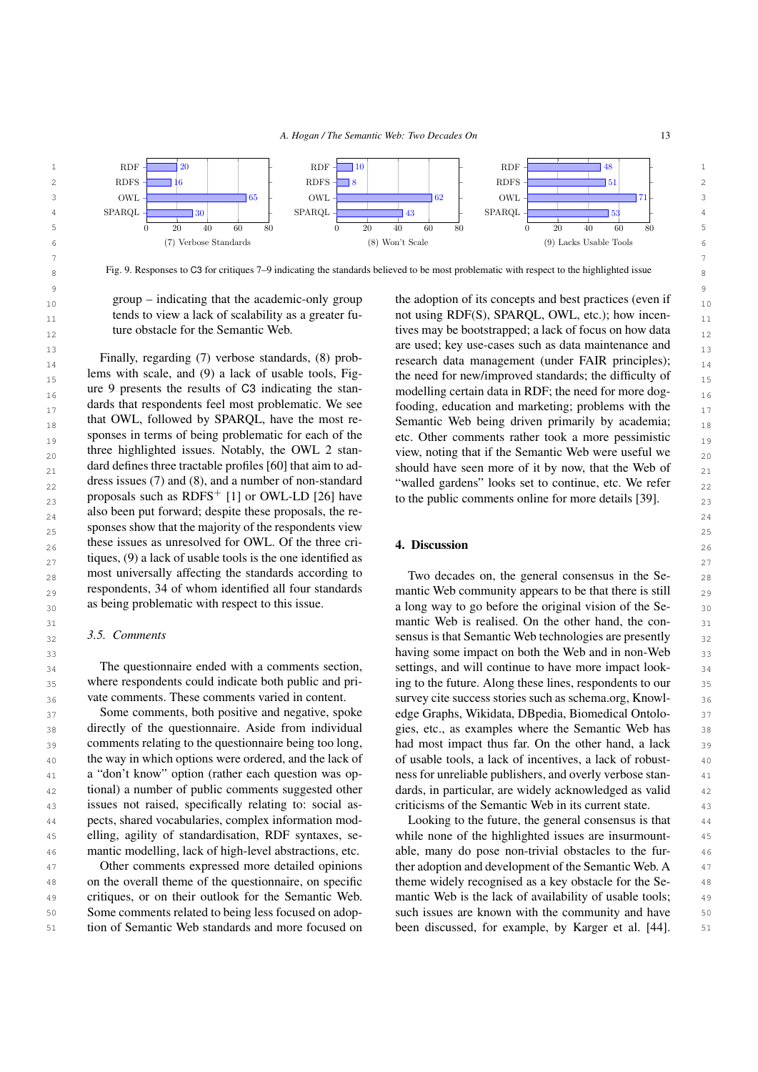

7 7  $8 \text{ Fig. 9.}$  Responses to C3 for critiques 7–9 indicating the standards believed to be most problematic with respect to the highlighted issue

<span id="page-12-1"></span>group – indicating that the academic-only group tends to view a lack of scalability as a greater future obstacle for the Semantic Web.

Finally, regarding (*I*) verbose standards, (8) prob-<br>research data management (under FAIR principles); 15 15 the need for new/improved standards; the difficulty of 16 16 modelling certain data in RDF; the need for more dog- $_{17}$  dards that respondents feel most problematic. We see fooding, education and marketing; problems with the  $_{17}$ that OWL, followed by SPARQL, have the most re-<br>Semantic Web being driven primarily by academia;  $\frac{18}{18}$  $_{19}$  sponses in terms of being problematic for each of the etc. Other comments rather took a more pessimistic  $_{19}$ 20 three highlighted issues. Notably, the OWL 2 stan-<br> $_{20}$  view, noting that if the Semantic Web were useful we  $_{21}$  dard defines three tractable profiles [60] that aim to ad-<br>should have seen more of it by now, that the Web of  $_{21}$  $_{22}$  dress issues (7) and (8), and a number of non-standard "walled gardens" looks set to continue, etc. We refer  $_{22}$  $_{23}$  proposals such as RDFS<sup>+</sup> [1] or OWL-LD [26] have to the public comments online for more details [\[39\]](#page-14-35).  $_{23}$ also been put forward; despite these proposals, the re- $_{25}$  sponses show that the majority of the respondents view  $_{25}$ these issues as unresolved for OWL. Of the three cri-<br>26 **26 1. Discussion**  $27$  tiques, (9) a lack of usable tools is the one identified as  $27$ 28 most universally affecting the standards according to Two decades on, the general consensus in the Se- $_{29}$  respondents, 34 of whom identified all four standards mantic Web community appears to be that there is still  $_{29}$ Finally, regarding (7) verbose standards, (8) problems with scale, and (9) a lack of usable tools, Figure [9](#page-12-1) presents the results of C3 indicating the standards that respondents feel most problematic. We see that OWL, followed by SPARQL, have the most responses in terms of being problematic for each of the three highlighted issues. Notably, the OWL 2 standard defines three tractable profiles [\[60\]](#page-15-25) that aim to address issues (7) and (8), and a number of non-standard proposals such as  $RDFS^{+}$  [\[1\]](#page-13-0) or OWL-LD [\[26\]](#page-14-26) have most universally affecting the standards according to respondents, 34 of whom identified all four standards as being problematic with respect to this issue.

## *3.5. Comments*

The questionnaire ended with a comments section, where respondents could indicate both public and private comments. These comments varied in content.

 $37$  Some comments, both positive and negative, spoke edge Graphs, Wikidata, DB pedia, Biomedical Ontolo- $38$  directly of the questionnaire. Aside from individual gies, etc., as examples where the Semantic Web has  $38$ 39 comments relating to the questionnaire being too long, had most impact thus far. On the other hand, a lack 39 <sup>40</sup> the way in which options were ordered, and the lack of of usable tools, a lack of incentives, a lack of robust-41 **a** "don't know" option (rather each question was op-<br>**ness for unreliable publishers, and overly verbose stan-**<sup>42</sup> tional) a number of public comments suggested other dards, in particular, are widely acknowledged as valid <sup>42</sup> 43 issues not raised, specifically relating to: social as-<br>43 issues not raised, specifically relating to: social as-<br>5 criticisms of the Semantic Web in its current state. 44 44 Looking to the future, the general consensus is that 45 45 elling, agility of standardisation, RDF syntaxes, se-46 mantic modelling, lack of high-level abstractions, etc. able, many do pose non-trivial obstacles to the fur-Some comments, both positive and negative, spoke directly of the questionnaire. Aside from individual comments relating to the questionnaire being too long, the way in which options were ordered, and the lack of a "don't know" option (rather each question was optional) a number of public comments suggested other pects, shared vocabularies, complex information modmantic modelling, lack of high-level abstractions, etc.

48 on the overall theme of the questionnaire, on specific theme widely recognised as a key obstacle for the Se-<sup>49</sup> critiques, or on their outlook for the Semantic Web. mantic Web is the lack of availability of usable tools; 50 Some comments related to being less focused on adop-<br>such issues are known with the community and have 50 51 ion of Semantic Web standards and more focused on been discussed, for example, by Karger et al. [\[44\]](#page-15-26). 51 Other comments expressed more detailed opinions critiques, or on their outlook for the Semantic Web. Some comments related to being less focused on adoption of Semantic Web standards and more focused on

9 9  $_{10}$  group – indicating that the academic-only group the adoption of its concepts and best practices (even if  $_{10}$ tends to view a lack of scalability as a greater fu- not using RDF(S), SPARQL, OWL, etc.); how incenture obstacle for the Semantic Web. tives may be bootstrapped; a lack of focus on how data  $_{12}$ 13 **are used; key use-cases such as data maintenance and** 

# <span id="page-12-0"></span>4. Discussion

 $_{30}$  as being problematic with respect to this issue.  $\frac{1}{20}$  a long way to go before the original vision of the Se-31 **mantic Web is realised. On the other hand, the con-** 31  $3.3.$  Comments 3.3. Comments 3.3 and 3.3 sensus is that Semantic Web technologies are presently  $3.3$ 33 33 having some impact on both the Web and in non-Web 34 The questionnaire ended with a comments section, settings, and will continue to have more impact look- 34 35 where respondents could indicate both public and pri- ing to the future. Along these lines, respondents to our 35  $_{36}$  vate comments. These comments varied in content. Survey cite success stories such as schema.org, Knowlcriticisms of the Semantic Web in its current state.

47 Other comments expressed more detailed opinions ther adoption and development of the Semantic Web. A 47 while none of the highlighted issues are insurmounttheme widely recognised as a key obstacle for the Se-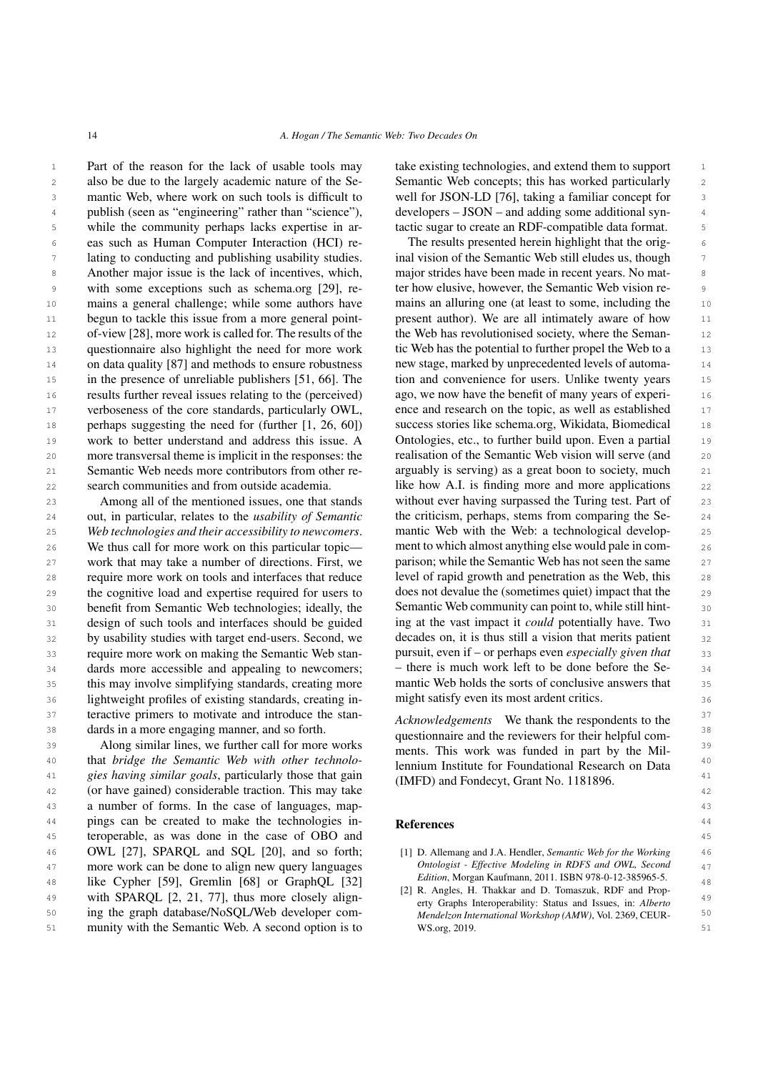1 Part of the reason for the lack of usable tools may take existing technologies, and extend them to support 1 2 also be due to the largely academic nature of the Se-<br>Semantic Web concepts; this has worked particularly 3 mantic Web, where work on such tools is difficult to well for JSON-LD [76], taking a familiar concept for 3 4 publish (seen as "engineering" rather than "science"), developers – JSON – and adding some additional syn-5 5 while the community perhaps lacks expertise in ar-6 6 eas such as Human Computer Interaction (HCI) re-<sup>7</sup> lating to conducting and publishing usability studies. In induction of the Semantic Web still eludes us, though 8 Another major issue is the lack of incentives, which, major strides have been made in recent years. No mat-9 with some exceptions such as schema.org [\[29\]](#page-14-5), re- ter how elusive, however, the Semantic Web vision re-10 mains a general challenge; while some authors have mains an alluring one (at least to some, including the 10 11 begun to tackle this issue from a more general point-<br>present author). We are all intimately aware of how 11 12 of-view [\[28\]](#page-14-24), more work is called for. The results of the the Web has revolutionised society, where the Seman-13 questionnaire also highlight the need for more work tic Web has the potential to further propel the Web to a 13 <sup>14</sup> on data quality [\[87\]](#page-16-10) and methods to ensure robustness new stage, marked by unprecedented levels of automa-<sup>15</sup> in the presence of unreliable publishers [\[51,](#page-15-15) [66\]](#page-15-16). The tion and convenience for users. Unlike twenty years <sup>15</sup> 16 16 results further reveal issues relating to the (perceived) <sup>17</sup> verboseness of the core standards, particularly OWL, ence and research on the topic, as well as established <sup>17</sup> 18 perhaps suggesting the need for (further [\[1,](#page-13-0) [26,](#page-14-26) [60\]](#page-15-25)) success stories like schema.org, Wikidata, Biomedical 18 19 work to better understand and address this issue. A Ontologies, etc., to further build upon. Even a partial 19 20 more transversal theme is implicit in the responses: the realisation of the Semantic Web vision will serve (and 20 21 Semantic Web needs more contributors from other re- arguably is serving) as a great boon to society, much 21 22 search communities and from outside academia. I like how A.I. is finding more and more applications 22 mains a general challenge; while some authors have begun to tackle this issue from a more general pointmore transversal theme is implicit in the responses: the Semantic Web needs more contributors from other research communities and from outside academia.

24 24 out, in particular, relates to the *usability of Semantic* 25 25 *Web technologies and their accessibility to newcomers*. 26 We thus call for more work on this particular topic— ment to which almost anything else would pale in com-27 work that may take a number of directions. First, we parison; while the Semantic Web has not seen the same 27 28 require more work on tools and interfaces that reduce level of rapid growth and penetration as the Web, this 28 29 the cognitive load and expertise required for users to does not devalue the (sometimes quiet) impact that the 29 30 benefit from Semantic Web technologies; ideally, the Semantic Web community can point to, while still hint-31 design of such tools and interfaces should be guided ing at the vast impact it *could* potentially have. Two 31 32 by usability studies with target end-users. Second, we decades on, it is thus still a vision that merits patient 32 33 33 pursuit, even if – or perhaps even *especially given that* 34 dards more accessible and appealing to newcomers; - there is much work left to be done before the Se- 34 35 this may involve simplifying standards, creating more mantic Web holds the sorts of conclusive answers that 35 36 lightweight profiles of existing standards, creating in-<br>36 lightweight profiles of existing standards, creating in-<br> $\frac{1}{2}$  might satisfy even its most ardent critics. 37 teractive primers to motivate and introduce the stan-<br> $A$ chrowledgements. We thank the respondents to the 38 38 dards in a more engaging manner, and so forth. Among all of the mentioned issues, one that stands require more work on tools and interfaces that reduce require more work on making the Semantic Web stan-

40 40 that *bridge the Semantic Web with other technolo-*41 gies having similar goals, particularly those that gain (IMED) and Eondecyt Grant No. 1181896 41 42 42 (or have gained) considerable traction. This may take 43 43 a number of forms. In the case of languages, map-<sup>44</sup> pings can be created to make the technologies in-<br>**References** 44 45 45 teroperable, as was done in the case of OBO and 46 **OWL** [\[27\]](#page-14-36), **SPARQL** and **SQL** [\[20\]](#page-14-20), and so forth; [1] D. Allemang and J.A. Hendler, *Semantic Web for the Working* 46 47 more work can be done to align new query languages *Ontologist - Effective Modeling in RDFS and OWL, Second* 48 like Cypher [\[59\]](#page-15-30), Gremlin [\[68\]](#page-15-31) or GraphQL [\[32\]](#page-14-31) *Eattion*, Morgan Kautmann, 2011. ISBN 978-0-12-385965-5. 48 49 with SPARQL  $[2, 21, 77]$  $[2, 21, 77]$  $[2, 21, 77]$ , thus more closely align-<br> $\frac{12}{100}$  arty Graphs Interpoperability: Status and Issues in: Alberta 49 50 ing the graph database/NoSQL/Web developer com-<br>  $Mendelzon International Workshop (AMW)$ , Vol. 2369, CEUR-51 51 munity with the Semantic Web. A second option is to

take existing technologies, and extend them to support Semantic Web concepts; this has worked particularly well for JSON-LD [\[76\]](#page-16-13), taking a familiar concept for developers – JSON – and adding some additional syntactic sugar to create an RDF-compatible data format.

23 Among all of the mentioned issues, one that stands without ever having surpassed the Turing test. Part of 23 The results presented herein highlight that the original vision of the Semantic Web still eludes us, though major strides have been made in recent years. No matter how elusive, however, the Semantic Web vision rethe Web has revolutionised society, where the Semantic Web has the potential to further propel the Web to a new stage, marked by unprecedented levels of automation and convenience for users. Unlike twenty years ago, we now have the benefit of many years of experience and research on the topic, as well as established success stories like schema.org, Wikidata, Biomedical Ontologies, etc., to further build upon. Even a partial the criticism, perhaps, stems from comparing the Semantic Web with the Web: a technological development to which almost anything else would pale in comparison; while the Semantic Web has not seen the same does not devalue the (sometimes quiet) impact that the Semantic Web community can point to, while still hinting at the vast impact it *could* potentially have. Two decades on, it is thus still a vision that merits patient – there is much work left to be done before the Semantic Web holds the sorts of conclusive answers that might satisfy even its most ardent critics.

39 Along similar lines, we further call for more works we hand to this work was funded in part by the Mil 39 *Acknowledgements* We thank the respondents to the questionnaire and the reviewers for their helpful comments. This work was funded in part by the Millennium Institute for Foundational Research on Data (IMFD) and Fondecyt, Grant No. 1181896.

#### References

- <span id="page-13-0"></span>[1] D. Allemang and J.A. Hendler, *Semantic Web for the Working Ontologist - Effective Modeling in RDFS and OWL, Second Edition*, Morgan Kaufmann, 2011. ISBN 978-0-12-385965-5.
- <span id="page-13-1"></span>[2] R. Angles, H. Thakkar and D. Tomaszuk, RDF and Property Graphs Interoperability: Status and Issues, in: *Alberto Mendelzon International Workshop (AMW)*, Vol. 2369, CEUR-WS.org, 2019.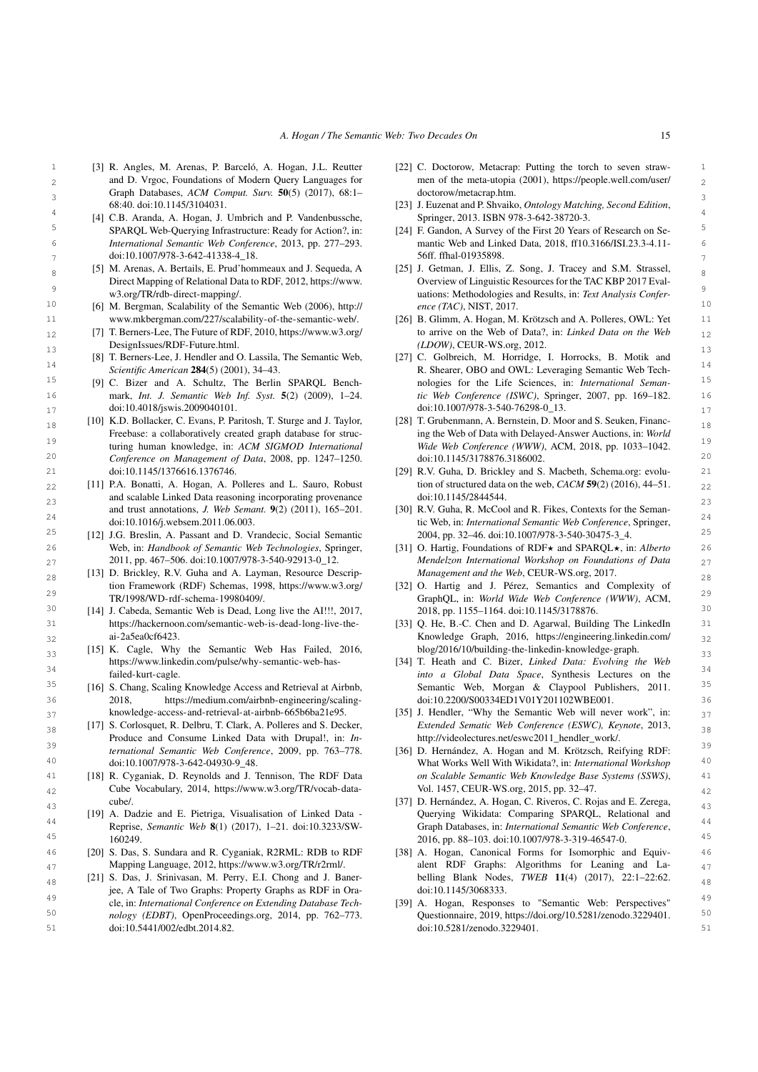- <span id="page-14-32"></span>1 1 [22] C. Doctorow, Metacrap: Putting the torch to seven straw2 and D. Vrgoc, Foundations of Modern Query Languages for men of the meta-utopia (2001), [https://people.well.com/user/](https://people.well.com/user/doctorow/metacrap.htm) 3 3 Graph Databases, *ACM Comput. Surv.* 50(5) (2017), 68:1– [3] R. Angles, M. Arenas, P. Barceló, A. Hogan, J.L. Reutter and D. Vrgoc, Foundations of Modern Query Languages for 68:40. doi:10.1145/3104031.
- <span id="page-14-23"></span>5 **SPARQL Web-Querying Infrastructure: Ready for Action?, in:** [24] F. Gandon, A Survey of the First 20 Years of Research on Se-6 6 *International Semantic Web Conference*, 2013, pp. 277–293. SPARQL Web-Querying Infrastructure: Ready for Action?, in:
- <span id="page-14-19"></span> $_{8}$  [5] M. Arenas, A. Bertails, E. Prud'hommeaux and J. Sequeda, A [25] J. Getman, J. Ellis, Z. Song, J. Tracey and S.M. Strassel, [5] M. Arenas, A. Bertails, E. Prud'hommeaux and J. Sequeda, A Direct Mapping of Relational Data to RDF, 2012, [https://www.](https://www.w3.org/TR/rdb-direct-mapping/) [w3.org/TR/rdb-direct-mapping/.](https://www.w3.org/TR/rdb-direct-mapping/)
	-
	- [DesignIssues/RDF-Future.html.](https://www.w3.org/DesignIssues/RDF-Future.html)
- <span id="page-14-1"></span>13 13 [27] C. Golbreich, M. Horridge, I. Horrocks, B. Motik and [8] T. Berners-Lee, J. Hendler and O. Lassila, The Semantic Web, *Scientific American* 284(5) (2001), 34–43.
	-
- <span id="page-14-4"></span>18 [10] K.D. Bollacker, C. Evans, P. Paritosh, T. Sturge and J. Taylor, [28] T. Grubenmann, A. Bernstein, D. Moor and S. Seuken, Financ-19 19 turing human knowledge, in: *ACM SIGMOD International* 20 20 *Conference on Management of Data*, 2008, pp. 1247–1250. Freebase: a collaboratively created graph database for strucdoi:10.1145/1376616.1376746.
- <span id="page-14-14"></span> $22$  [11] P.A. Bonatti, A. Hogan, A. Polleres and L. Sauro, Robust tion of structured data on the web,  $CACM$  59(2) (2016), 44–51.  $22$ 23 and scalable Linked Data reasoning incorporating provenance doi:10.1145/2844544. and trust annotations, *J. Web Semant.* 9(2) (2011), 165–201. doi:10.1016/j.websem.2011.06.003.
- <span id="page-14-12"></span>26 26 [31] O. Hartig, Foundations of RDF? and SPARQL?, in: *Alberto* Web, in: *Handbook of Semantic Web Technologies*, Springer, 2011, pp. 467–506. doi:10.1007/978-3-540-92913-0\_12.
- <span id="page-14-0"></span>28 [13] D. Brickley, R.V. Guha and A. Layman, Resource Descrip-<br>28 29 29 GraphQL, in: *World Wide Web Conference (WWW)*, ACM, tion Framework (RDF) Schemas, 1998, [https://www.w3.org/](https://www.w3.org/TR/1998/WD-rdf-schema-19980409/) [TR/1998/WD-rdf-schema-19980409/.](https://www.w3.org/TR/1998/WD-rdf-schema-19980409/)
- <span id="page-14-10"></span>31 https://hackernoon.com/semantic-web-is-dead-long-live-the- [33] Q. He, B.-C. Chen and D. Agarwal, Building The LinkedIn 31 [https://hackernoon.com/semantic-web-is-dead-long-live-the](https://hackernoon.com/semantic-web-is-dead-long-live-the-ai-2a5ea0cf6423)[ai-2a5ea0cf6423.](https://hackernoon.com/semantic-web-is-dead-long-live-the-ai-2a5ea0cf6423)
- <span id="page-14-9"></span><sup>33</sup> [15] K. Cagle, Why the Semantic Web Has Failed, 2016, blog/2016/10/building-the-linkedin-knowledge-graph. [https://www.linkedin.com/pulse/why-semantic-web-has](https://www.linkedin.com/pulse/why-semantic-web-has-failed-kurt-cagle)[failed-kurt-cagle.](https://www.linkedin.com/pulse/why-semantic-web-has-failed-kurt-cagle)
- <span id="page-14-7"></span>36 36 2018, [https://medium.com/airbnb-engineering/scaling-](https://medium.com/airbnb-engineering/scaling-knowledge-access-and-retrieval-at-airbnb-665b6ba21e95)[16] S. Chang, Scaling Knowledge Access and Retrieval at Airbnb, [knowledge-access-and-retrieval-at-airbnb-665b6ba21e95.](https://medium.com/airbnb-engineering/scaling-knowledge-access-and-retrieval-at-airbnb-665b6ba21e95)
- 38 [17] S. Corlosquet, R. Delbru, T. Clark, A. Polleres and S. Decker, *Extended Sematic Web Conference (ESWC), Keynote*, 2013, 39 39 *ternational Semantic Web Conference*, 2009, pp. 763–778. Produce and Consume Linked Data with Drupal!, in: *In*doi:10.1007/978-3-642-04930-9\_48.
- <span id="page-14-22"></span>41 [18] R. Cyganiak, D. Reynolds and J. Tennison, The RDF Data on Scalable Semantic Web Knowledge Base Systems (SSWS), 41  $42$  Cube Vocabulary, 2014, https://www.w3.org/TR/vocab-data-<br> $42$  Vol. 1457, CEUR-WS.org, 2015, pp. 32–47. [cube/.](https://www.w3.org/TR/vocab-data-cube/)
- <span id="page-14-3"></span>44 44 Reprise, *Semantic Web* 8(1) (2017), 1–21. doi:10.3233/SW-[19] A. Dadzie and E. Pietriga, Visualisation of Linked Data - 160249.
- <span id="page-14-28"></span><span id="page-14-20"></span>46 46 [20] S. Das, S. Sundara and R. Cyganiak, R2RML: RDB to RDF Mapping Language, 2012, [https://www.w3.org/TR/r2rml/.](https://www.w3.org/TR/r2rml/)
- <span id="page-14-33"></span> $_{48}$  [21] S. Das, J. Srinivasan, M. Perry, E.I. Chong and J. Baner-<br>belling Blank Nodes, TWEB 11(4) (2017), 22:1-22:62. <sup>49</sup> entertained Conference on Extending Database Tech- [39] A. Hogan, Responses to "Semantic Web: Perspectives"<sup>49</sup> 50 50 *nology (EDBT)*, OpenProceedings.org, 2014, pp. 762–773. jee, A Tale of Two Graphs: Property Graphs as RDF in Oracle, in: *International Conference on Extending Database Tech-*
- <span id="page-14-36"></span><span id="page-14-26"></span><span id="page-14-24"></span><span id="page-14-16"></span><span id="page-14-15"></span><span id="page-14-13"></span><span id="page-14-8"></span><span id="page-14-5"></span><span id="page-14-2"></span>[doctorow/metacrap.htm.](https://people.well.com/user/doctorow/metacrap.htm)
- 4 (4) C.B. Aranda, A. Hogan, J. Umbrich and P. Vandenbussche, Springer, 2013. ISBN 978-3-642-38720-3. [23] J. Euzenat and P. Shvaiko, *Ontology Matching, Second Edition*, Springer, 2013. ISBN 978-3-642-38720-3.
- $\frac{1}{7}$  doi:10.1007/978-3-642-41338-4\_18.  $\frac{1}{7}$ mantic Web and Linked Data, 2018, ff10.3166/ISI.23.3-4.11- 56ff. ffhal-01935898.
- 9 9 uations: Methodologies and Results, in: *Text Analysis Confer*<sup>10</sup> [6] M. Bergman, Scalability of the Semantic Web (2006), [http://](http://www.mkbergman.com/227/scalability-of-the-semantic-web/) *ence (TAC)*, NIST, 2017. Overview of Linguistic Resources for the TAC KBP 2017 Eval*ence (TAC)*, NIST, 2017.
- <span id="page-14-27"></span><span id="page-14-25"></span>11 [www.mkbergman.com/227/scalability-of-the-semantic-web/.](http://www.mkbergman.com/227/scalability-of-the-semantic-web/) [26] B. Glimm, A. Hogan, M. Krötzsch and A. Polleres, OWL: Yet 11 12 [7] T. Berners-Lee, The Future of RDF, 2010, [https://www.w3.org/](https://www.w3.org/DesignIssues/RDF-Future.html) to arrive on the Web of Data?, in: Linked Data on the Web  $_{12}$ [26] B. Glimm, A. Hogan, M. Krötzsch and A. Polleres, OWL: Yet to arrive on the Web of Data?, in: *Linked Data on the Web (LDOW)*, CEUR-WS.org, 2012.
- <span id="page-14-29"></span>14 Scientific American 284(5) (2001), 34–43. R. Shearer, OBO and OWL: Leveraging Semantic Web Tech-<sup>15</sup> [9] C. Bizer and A. Schultz, The Berlin SPARQL Bench-<br><sup>15</sup> 100gies for the Life Sciences, in: *International Seman*-16 16 mark, *Int. J. Semantic Web Inf. Syst.* 5(2) (2009), 1–24. 17 doi:10.4018/jswis.2009040101. 17 doi:10.1007/978-3-540-76298-0\_13. nologies for the Life Sciences, in: *International Semantic Web Conference (ISWC)*, Springer, 2007, pp. 169–182. doi:10.1007/978-3-540-76298-0\_13.
	- [28] T. Grubenmann, A. Bernstein, D. Moor and S. Seuken, Financing the Web of Data with Delayed-Answer Auctions, in: *World Wide Web Conference (WWW)*, ACM, 2018, pp. 1033–1042. doi:10.1145/3178876.3186002.
- 21 21 [29] R.V. Guha, D. Brickley and S. Macbeth, Schema.org: evolution of structured data on the web, *CACM* 59(2) (2016), 44–51. doi:10.1145/2844544.
- <sup>24</sup> 24 doi:10.1016/j.websem.2011.06.003. The series and the series of the series of the series of the series of the series and the series of the series and the series of the series of the series of the series of the serie <sup>25</sup> [12] J.G. Breslin, A. Passant and D. Vrandecic, Social Semantic  $2004$ , pp. 32–46. doi:10.1007/978-3-540-30475-3\_4. [30] R.V. Guha, R. McCool and R. Fikes, Contexts for the Seman-2004, pp. 32–46. doi:10.1007/978-3-540-30475-3\_4.
- <span id="page-14-34"></span>27 27 *Mendelzon International Workshop on Foundations of Data Management and the Web*, CEUR-WS.org, 2017.
- <span id="page-14-31"></span> $30$  [14] J. Cabeda, Semantic Web is Dead, Long live the AI!!!, 2017,  $2018$ , pp. 1155–1164. doi:10.1145/3178876. [32] O. Hartig and J. Pérez, Semantics and Complexity of 2018, pp. 1155–1164. doi:10.1145/3178876.
- <span id="page-14-6"></span> $32$   $a^2-3a^2 = 3a^2 - 4a^2$   $a^2-3b^2 - 3b^2$   $a^2-3b^2 - 4b^2$   $a^2-3b^2 - 4b^2$   $a^2-3b^2 - 4b^2$   $a^2-3b^2 - 4b^2$   $a^2-3b^2 - 4b^2$   $a^2-3b^2 - 4b^2$   $a^2-3b^2 - 4b^2$   $a^2-3b^2 - 4b^2$   $a^2-3b^2 - 4b^2$   $a^2-3b^2 - 4b^2$   $a^2-3$ [blog/2016/10/building-the-linkedin-knowledge-graph.](https://engineering.linkedin.com/blog/2016/10/building-the-linkedin-knowledge-graph)
- <span id="page-14-17"></span><sup>34</sup> 34<br>
<sup>34</sup> *into a Global Data Space*, Synthesis Lectures on the <sup>35</sup> [16] S. Chang, Scaling Knowledge Access and Retrieval at Airbnb, Semantic Web, Morgan & Claypool Publishers, 2011. <sup>35</sup> [34] T. Heath and C. Bizer, *Linked Data: Evolving the Web* doi:10.2200/S00334ED1V01Y201102WBE001.
- <span id="page-14-21"></span><span id="page-14-11"></span> $_{37}$  knowledge-access-and-retrieval-at-airbnb-665b6ba21e95. [35] J. Hendler, "Why the Semantic Web will never work", in:  $_{37}$ *Extended Sematic Web Conference (ESWC), Keynote*, 2013, [http://videolectures.net/eswc2011\\_hendler\\_work/.](http://videolectures.net/eswc2011_hendler_work/)
- <span id="page-14-18"></span>40 40 What Works Well With Wikidata?, in: *International Workshop* [36] D. Hernández, A. Hogan and M. Krötzsch, Reifying RDF: *on Scalable Semantic Web Knowledge Base Systems (SSWS)*, Vol. 1457, CEUR-WS.org, 2015, pp. 32–47.
- <span id="page-14-30"></span>43 43 [37] D. Hernández, A. Hogan, C. Riveros, C. Rojas and E. Zerega, 45 45 2016, pp. 88–103. doi:10.1007/978-3-319-46547-0. Querying Wikidata: Comparing SPARQL, Relational and Graph Databases, in: *International Semantic Web Conference*,
- 47 Mapping Language, 2012, https://www.w3.org/TR/r2rml/. alent RDF Graphs: Algorithms for Leaning and La-[38] A. Hogan, Canonical Forms for Isomorphic and Equivbelling Blank Nodes, *TWEB* 11(4) (2017), 22:1–22:62. doi:10.1145/3068333.
- <span id="page-14-35"></span>51 51 doi:10.5441/002/edbt.2014.82. Questionnaire, 2019, [https://doi.org/10.5281/zenodo.3229401.](https://doi.org/10.5281/zenodo.3229401) doi:10.5281/zenodo.3229401.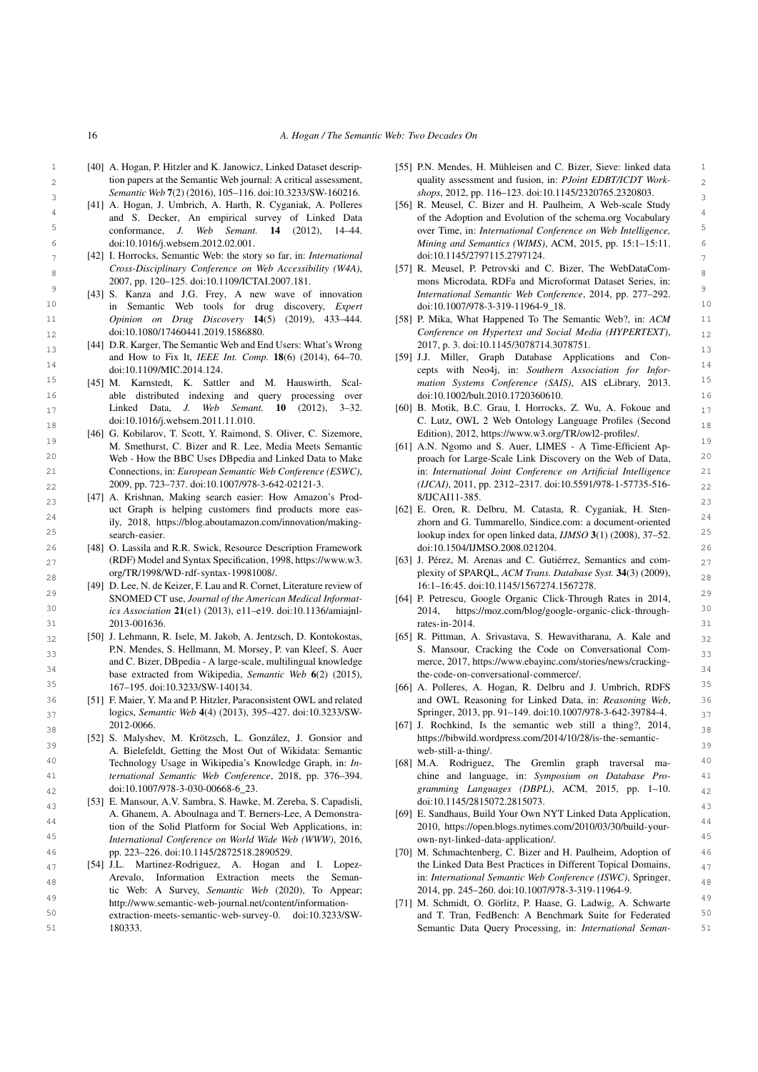- <span id="page-15-21"></span><span id="page-15-3"></span>16 *A. Hogan / The Semantic Web: Two Decades On*
- 1 1 [55] P.N. Mendes, H. Mühleisen and C. Bizer, Sieve: linked data 3 3 *Semantic Web* 7(2) (2016), 105–116. doi:10.3233/SW-160216. [40] A. Hogan, P. Hitzler and K. Janowicz, Linked Dataset descrip-
	- [41] A. Hogan, J. Umbrich, A. Harth, R. Cyganiak, A. Polleres doi:10.1016/j.websem.2012.02.001.
- <span id="page-15-1"></span> $\frac{1}{7}$  [42] I. Horrocks, Semantic Web: the story so far, in: *International* doi:10.1145/2797115.2797124. *Cross-Disciplinary Conference on Web Accessibility (W4A)*, 2007, pp. 120–125. doi:10.1109/ICTAI.2007.181.
- 10 10 in Semantic Web tools for drug discovery, *Expert* [43] S. Kanza and J.G. Frey, A new wave of innovation *Opinion on Drug Discovery* 14(5) (2019), 433–444. doi:10.1080/17460441.2019.1586880.
- <span id="page-15-26"></span>13 13 [44] D.R. Karger, The Semantic Web and End Users: What's Wrong and How to Fix It, *IEEE Int. Comp.* 18(6) (2014), 64–70. doi:10.1109/MIC.2014.124.
- <span id="page-15-2"></span>16 16 able distributed indexing and query processing over 17 **17** Linked Data, *J. Web Semant.* **10** (2012), 3–32. [60] B. Motik, B.C. Grau, I. Horrocks, Z. Wu, A. Fokoue and  $\frac{17}{2}$ Linked Data, *J. Web Semant.* 10 (2012), 3–32. doi:10.1016/j.websem.2011.11.010.
- <span id="page-15-5"></span>19 M. Smethurst, C. Bizer and R. Lee, Media Meets Semantic [61] A.N. Ngomo and S. Auer, LIMES - A Time-Efficient Ap-<sup>20</sup> Web - How the BBC Uses DBpedia and Linked Data to Make proach for Large-Scale Link Discovery on the Web of Data, <sup>20</sup> 21 21 Connections, in: *European Semantic Web Conference (ESWC)*, [46] G. Kobilarov, T. Scott, Y. Raimond, S. Oliver, C. Sizemore, M. Smethurst, C. Bizer and R. Lee, Media Meets Semantic 2009, pp. 723–737. doi:10.1007/978-3-642-02121-3.
- <span id="page-15-8"></span>23 23 [47] A. Krishnan, Making search easier: How Amazon's Prod-24 24 zhorn and G. Tummarello, Sindice.com: a document-oriented uct Graph is helping customers find products more easily, 2018, [https://blog.aboutamazon.com/innovation/making](https://blog.aboutamazon.com/innovation/making-search-easier)[search-easier.](https://blog.aboutamazon.com/innovation/making-search-easier)
- <span id="page-15-0"></span>26 26 [48] O. Lassila and R.R. Swick, Resource Description Framework (RDF) Model and Syntax Specification, 1998, https://www.w3. [63] J. Pérez, M. Arenas and C. Gutiérrez, Semantics and com-(RDF) Model and Syntax Specification, 1998, [https://www.w3.](https://www.w3.org/TR/1998/WD-rdf-syntax-19981008/) [org/TR/1998/WD-rdf-syntax-19981008/.](https://www.w3.org/TR/1998/WD-rdf-syntax-19981008/)
- <span id="page-15-17"></span><span id="page-15-11"></span>29 29 SNOMED CT use, Journal of the American Medical Informat- [64] P. Petrescu, Google Organic Click-Through Rates in 2014,  $\frac{30}{201}$  ics Association 21(e1) (2013), e11-e19. doi:10.1136/amiajnl-<br> $\frac{2014}{2014}$ , [https://moz.com/blog/google-organic-click-through-](https://moz.com/blog/google-organic-click-through-rates-in-2014)31 2013-001636. 31 31 3213-001636. [49] D. Lee, N. de Keizer, F. Lau and R. Cornet, Literature review of SNOMED CT use, *Journal of the American Medical Informatics Association* 21(e1) (2013), e11–e19. doi:10.1136/amiajnl-2013-001636.
- <span id="page-15-29"></span><span id="page-15-7"></span> $_{32}$  [50] J. Lehmann, R. Isele, M. Jakob, A. Jentzsch, D. Kontokostas, [65] R. Pittman, A. Srivastava, S. Hewavitharana, A. Kale and  $_{32}$ 23 **33 P.N. Mendes, S. Hellmann, M. Morsey, P. van Kleef, S. Auer <b>S. Mansour, Cracking the Code on Conversational Com** <sup>34</sup> base extracted from Wikipedia, *Semantic Web* 6(2) (2015), the-code-on-conversational-commerce/.  $167-195$ . doi:10.3233/SW-140134. [66] A. Polleres, A. Hogan, R. Delbru and J. Umbrich, RDFS  $35$ and C. Bizer, DBpedia - A large-scale, multilingual knowledge 167–195. doi:10.3233/SW-140134.
- <span id="page-15-16"></span><span id="page-15-15"></span>36 [51] F. Maier, Y. Ma and P. Hitzler, Paraconsistent OWL and related and OWL Reasoning for Linked Data, in: Reasoning Web, 36 37 37 logics, *Semantic Web* 4(4) (2013), 395–427. doi:10.3233/SW-2012-0066.
- 39 39 A. Bielefeldt, Getting the Most Out of Wikidata: Semantic <sup>40</sup> **Technology Usage in Wikipedia's Knowledge Graph, in:** *In***- [68] M.A. Rodriguez, The Gremlin graph traversal ma-** <sup>40</sup> 41 41 chine and language, in: *Symposium on Database Pro-*[52] S. Malyshev, M. Krötzsch, L. González, J. Gonsior and Technology Usage in Wikipedia's Knowledge Graph, in: *International Semantic Web Conference*, 2018, pp. 376–394. doi:10.1007/978-3-030-00668-6\_23.
- <span id="page-15-28"></span><span id="page-15-6"></span> $^{43}$   $^{43}$   $^{43}$   $^{43}$   $^{43}$   $^{44}$   $^{45}$   $^{46}$   $^{47}$   $^{48}$   $^{49}$   $^{401.10.114.7261.0772.261.0773}$ .<br>A. Ghanem, A. Aboulnaga and T. Berners-Lee, A Demonstra- [69] E. Sandhaus, Build Your Own NYT Linked Data App 44<br>tion of the Solid Platform for Social Web Applications, in: 2010, https://open.blogs.nytimes.com/2010/03/30/build-your-45 45 *International Conference on World Wide Web (WWW)*, 2016, 46 46 [70] M. Schmachtenberg, C. Bizer and H. Paulheim, Adoption of [53] E. Mansour, A.V. Sambra, S. Hawke, M. Zereba, S. Capadisli, pp. 223–226. doi:10.1145/2872518.2890529.
- <span id="page-15-18"></span><span id="page-15-13"></span> $47$  [54] J.L. Martinez-Rodriguez, A. Hogan and I. Lopez-<br>the Linked Data Best Practices in Different Topical Domains, Arevalo, Information Extraction meets the Seman-<br><sup>48</sup> in: *International Semantic Web Conference (ISWC)*, Springer, 49<br>http://www.semantic-web-journal.net/content/information- [71] M. Schmidt, O. Görlitz, P. Haase, G. Ladwig, A. Schwarte [54] J.L. Martinez-Rodriguez, A. Hogan and I. Lopez-Arevalo, Information Extraction meets the Semantic Web: A Survey, *Semantic Web* (2020), To Appear; [http://www.semantic-web-journal.net/content/information-](http://www.semantic-web-journal.net/content/information-extraction-meets-semantic-web-survey-0)
- 51 51 Semantic Data Query Processing, in: *International Seman*[extraction-meets-semantic-web-survey-0.](http://www.semantic-web-journal.net/content/information-extraction-meets-semantic-web-survey-0) doi:10.3233/SW-180333.
- $_2$  tion papers at the Semantic Web journal: A critical assessment, quality assessment and fusion, in: *PJoint EDBT/ICDT Work*quality assessment and fusion, in: *PJoint EDBT/ICDT Workshops*, 2012, pp. 116–123. doi:10.1145/2320765.2320803.
- <span id="page-15-19"></span><sup>4</sup> and S. Decker, An empirical survey of Linked Data of the Adoption and Evolution of the schema.org Vocabulary 5 5 conformance, *J. Web Semant.* 14 (2012), 14–44. 6 6 *Mining and Semantics (WIMS)*, ACM, 2015, pp. 15:1–15:11. [56] R. Meusel, C. Bizer and H. Paulheim, A Web-scale Study of the Adoption and Evolution of the schema.org Vocabulary over Time, in: *International Conference on Web Intelligence,* doi:10.1145/2797115.2797124.
- <span id="page-15-12"></span> $8 \text{ Cross-Disciplinary Conference on Web Accessibility (W4A),}$  [57] R. Meusel, P. Petrovski and C. Bizer, The WebDataCom-9<br><sup>9</sup> [43] S. Kanza and J.G. Frey, A new wave of innovation *International Semantic Web Conference*, 2014, pp. 277–292. mons Microdata, RDFa and Microformat Dataset Series, in: doi:10.1007/978-3-319-11964-9\_18.
- 11 **11** *Opinion on Drug Discovery* 14(5) (2019), 433–444. [58] P. Mika, What Happened To The Semantic Web?, in: *ACM* 11  $_{12}$  doi:10.1080/17460441.2019.1586880.  $_{12}$  Conference on Hypertext and Social Media (HYPERTEXT),  $_{12}$ 2017, p. 3. doi:10.1145/3078714.3078751.
- 14<br>
14 doi:10.1109/MIC.2014.124.<br>
<sup>14</sup> cepts with Neo4j, in: *Southern Association for Infor-*<sup>15</sup> [45] M. Karnstedt, K. Sattler and M. Hauswirth, Scal- mation Systems Conference (SAIS), AIS eLibrary, 2013. <sup>15</sup> [59] J.J. Miller, Graph Database Applications and Con*mation Systems Conference (SAIS)*, AIS eLibrary, 2013. doi:10.1002/bult.2010.1720360610.
- <span id="page-15-25"></span>18 18 C. Lutz, OWL 2 Web Ontology Language Profiles (Second Edition), 2012, [https://www.w3.org/TR/owl2-profiles/.](https://www.w3.org/TR/owl2-profiles/)
- <span id="page-15-20"></span>22 22 *(IJCAI)*, 2011, pp. 2312–2317. doi:10.5591/978-1-57735-516 proach for Large-Scale Link Discovery on the Web of Data, in: *International Joint Conference on Artificial Intelligence* 8/IJCAI11-385.
- <span id="page-15-4"></span>25 25 lookup index for open linked data, *IJMSO* 3(1) (2008), 37–52. [62] E. Oren, R. Delbru, M. Catasta, R. Cyganiak, H. Stendoi:10.1504/IJMSO.2008.021204.
- <span id="page-15-24"></span>28 28 plexity of SPARQL, *ACM Trans. Database Syst.* 34(3) (2009), 16:1–16:45. doi:10.1145/1567274.1567278.
	- [rates-in-2014.](https://moz.com/blog/google-organic-click-through-rates-in-2014)
	- [65] R. Pittman, A. Srivastava, S. Hewavitharana, A. Kale and S. Mansour, Cracking the Code on Conversational Commerce, 2017, [https://www.ebayinc.com/stories/news/cracking](https://www.ebayinc.com/stories/news/cracking-the-code-on-conversational-commerce/)[the-code-on-conversational-commerce/.](https://www.ebayinc.com/stories/news/cracking-the-code-on-conversational-commerce/)
	- and OWL Reasoning for Linked Data, in: *Reasoning Web*, Springer, 2013, pp. 91–149. doi:10.1007/978-3-642-39784-4.
- <span id="page-15-14"></span><span id="page-15-9"></span>38 38 [67] J. Rochkind, Is the semantic web still a thing?, 2014, [https://bibwild.wordpress.com/2014/10/28/is-the-semantic](https://bibwild.wordpress.com/2014/10/28/is-the-semantic-web-still-a-thing/)[web-still-a-thing/.](https://bibwild.wordpress.com/2014/10/28/is-the-semantic-web-still-a-thing/)
- <span id="page-15-31"></span>42 42 *gramming Languages (DBPL)*, ACM, 2015, pp. 1–10. doi:10.1145/2815072.2815073.
	- [69] E. Sandhaus, Build Your Own NYT Linked Data Application, 2010, [https://open.blogs.nytimes.com/2010/03/30/build-your](https://open.blogs.nytimes.com/2010/03/30/build-your-own-nyt-linked-data-application/)[own-nyt-linked-data-application/.](https://open.blogs.nytimes.com/2010/03/30/build-your-own-nyt-linked-data-application/)
	- 2014, pp. 245–260. doi:10.1007/978-3-319-11964-9.
- <span id="page-15-27"></span>50 extraction-meets-semantic-web-survey-0. doi:10.3233/SW- and T. Tran, FedBench: A Benchmark Suite for Federated 50

<span id="page-15-30"></span><span id="page-15-23"></span><span id="page-15-22"></span><span id="page-15-10"></span>